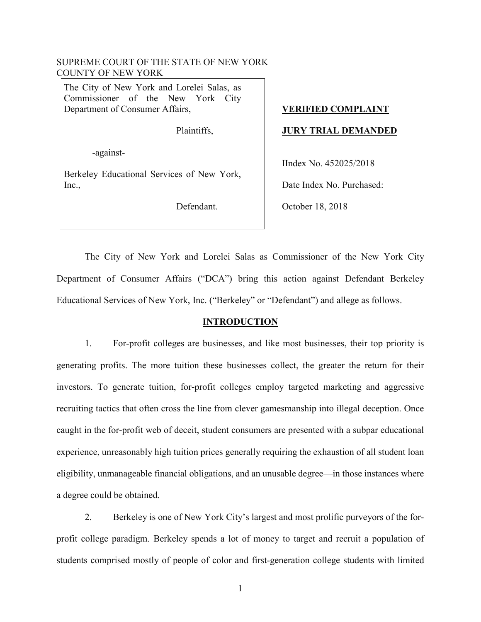### SUPREME COURT OF THE STATE OF NEW YORK COUNTY OF NEW YORK

The City of New York and Lorelei Salas, as Commissioner of the New York City Department of Consumer Affairs,

Plaintiffs,

-against-

Berkeley Educational Services of New York, Inc.,

Defendant.

# **VERIFIED COMPLAINT**

### **JURY TRIAL DEMANDED**

IIndex No. 452025/2018

Date Index No. Purchased:

October 18, 2018

The City of New York and Lorelei Salas as Commissioner of the New York City Department of Consumer Affairs ("DCA") bring this action against Defendant Berkeley Educational Services of New York, Inc. ("Berkeley" or "Defendant") and allege as follows.

### **INTRODUCTION**

1. For-profit colleges are businesses, and like most businesses, their top priority is generating profits. The more tuition these businesses collect, the greater the return for their investors. To generate tuition, for-profit colleges employ targeted marketing and aggressive recruiting tactics that often cross the line from clever gamesmanship into illegal deception. Once caught in the for-profit web of deceit, student consumers are presented with a subpar educational experience, unreasonably high tuition prices generally requiring the exhaustion of all student loan eligibility, unmanageable financial obligations, and an unusable degree—in those instances where a degree could be obtained.

2. Berkeley is one of New York City's largest and most prolific purveyors of the forprofit college paradigm. Berkeley spends a lot of money to target and recruit a population of students comprised mostly of people of color and first-generation college students with limited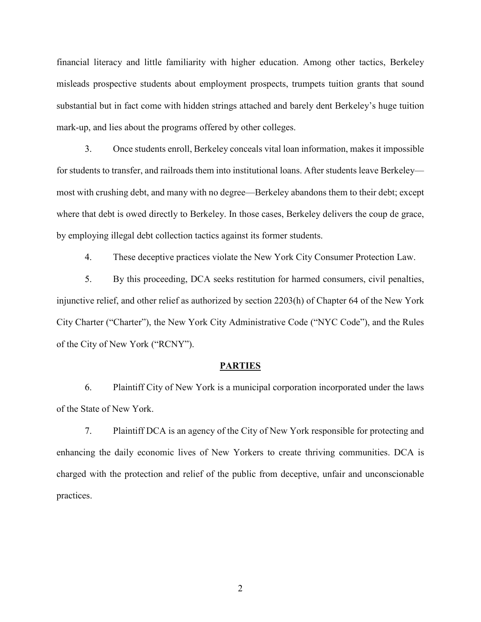financial literacy and little familiarity with higher education. Among other tactics, Berkeley misleads prospective students about employment prospects, trumpets tuition grants that sound substantial but in fact come with hidden strings attached and barely dent Berkeley's huge tuition mark-up, and lies about the programs offered by other colleges.

3. Once students enroll, Berkeley conceals vital loan information, makes it impossible for students to transfer, and railroads them into institutional loans. After students leave Berkeley most with crushing debt, and many with no degree—Berkeley abandons them to their debt; except where that debt is owed directly to Berkeley. In those cases, Berkeley delivers the coup de grace, by employing illegal debt collection tactics against its former students.

4. These deceptive practices violate the New York City Consumer Protection Law.

5. By this proceeding, DCA seeks restitution for harmed consumers, civil penalties, injunctive relief, and other relief as authorized by section 2203(h) of Chapter 64 of the New York City Charter ("Charter"), the New York City Administrative Code ("NYC Code"), and the Rules of the City of New York ("RCNY").

#### **PARTIES**

6. Plaintiff City of New York is a municipal corporation incorporated under the laws of the State of New York.

7. Plaintiff DCA is an agency of the City of New York responsible for protecting and enhancing the daily economic lives of New Yorkers to create thriving communities. DCA is charged with the protection and relief of the public from deceptive, unfair and unconscionable practices.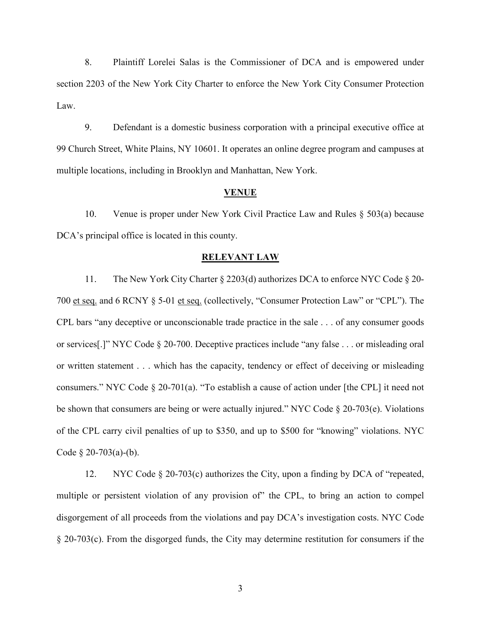8. Plaintiff Lorelei Salas is the Commissioner of DCA and is empowered under section 2203 of the New York City Charter to enforce the New York City Consumer Protection Law.

9. Defendant is a domestic business corporation with a principal executive office at 99 Church Street, White Plains, NY 10601. It operates an online degree program and campuses at multiple locations, including in Brooklyn and Manhattan, New York.

#### **VENUE**

10. Venue is proper under New York Civil Practice Law and Rules § 503(a) because DCA's principal office is located in this county.

#### **RELEVANT LAW**

11. The New York City Charter § 2203(d) authorizes DCA to enforce NYC Code § 20- 700 et seq. and 6 RCNY § 5-01 et seq. (collectively, "Consumer Protection Law" or "CPL"). The CPL bars "any deceptive or unconscionable trade practice in the sale . . . of any consumer goods or services[.]" NYC Code § 20-700. Deceptive practices include "any false . . . or misleading oral or written statement . . . which has the capacity, tendency or effect of deceiving or misleading consumers." NYC Code § 20-701(a). "To establish a cause of action under [the CPL] it need not be shown that consumers are being or were actually injured." NYC Code § 20-703(e). Violations of the CPL carry civil penalties of up to \$350, and up to \$500 for "knowing" violations. NYC Code  $\S$  20-703(a)-(b).

12. NYC Code § 20-703(c) authorizes the City, upon a finding by DCA of "repeated, multiple or persistent violation of any provision of" the CPL, to bring an action to compel disgorgement of all proceeds from the violations and pay DCA's investigation costs. NYC Code § 20-703(c). From the disgorged funds, the City may determine restitution for consumers if the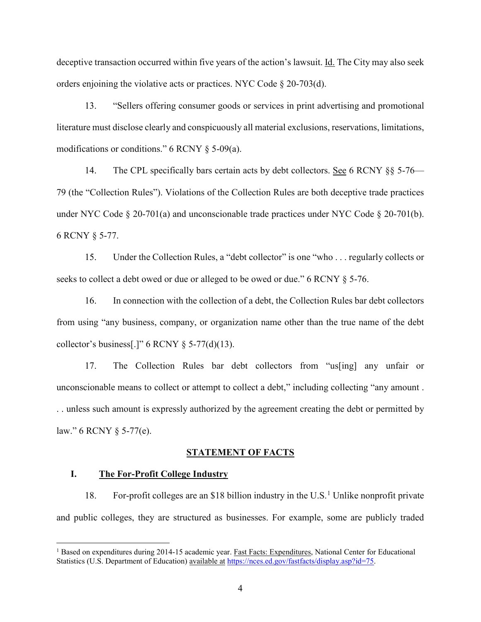deceptive transaction occurred within five years of the action's lawsuit. Id. The City may also seek orders enjoining the violative acts or practices. NYC Code § 20-703(d).

13. "Sellers offering consumer goods or services in print advertising and promotional literature must disclose clearly and conspicuously all material exclusions, reservations, limitations, modifications or conditions." 6 RCNY § 5-09(a).

14. The CPL specifically bars certain acts by debt collectors. See 6 RCNY §§ 5-76— 79 (the "Collection Rules"). Violations of the Collection Rules are both deceptive trade practices under NYC Code § 20-701(a) and unconscionable trade practices under NYC Code § 20-701(b). 6 RCNY § 5-77.

15. Under the Collection Rules, a "debt collector" is one "who . . . regularly collects or seeks to collect a debt owed or due or alleged to be owed or due." 6 RCNY § 5-76.

16. In connection with the collection of a debt, the Collection Rules bar debt collectors from using "any business, company, or organization name other than the true name of the debt collector's business[.]"  $6$  RCNY  $§$  5-77(d)(13).

17. The Collection Rules bar debt collectors from "us[ing] any unfair or unconscionable means to collect or attempt to collect a debt," including collecting "any amount . . . unless such amount is expressly authorized by the agreement creating the debt or permitted by law." 6 RCNY § 5-77(e).

#### **STATEMENT OF FACTS**

#### **I. The For-Profit College Industry**

 $\overline{a}$ 

18. For-profit colleges are an \$18 billion industry in the U.S.<sup>1</sup> Unlike nonprofit private and public colleges, they are structured as businesses. For example, some are publicly traded

<sup>&</sup>lt;sup>1</sup> Based on expenditures during 2014-15 academic year. Fast Facts: Expenditures, National Center for Educational Statistics (U.S. Department of Education) available at https://nces.ed.gov/fastfacts/display.asp?id=75.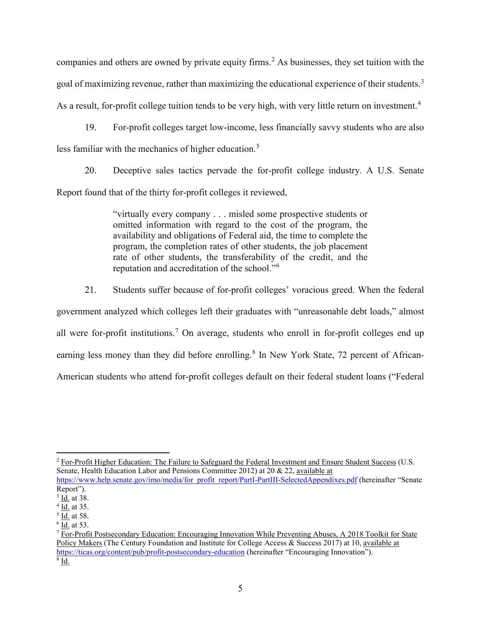companies and others are owned by private equity firms.<sup>2</sup> As businesses, they set tuition with the goal of maximizing revenue, rather than maximizing the educational experience of their students.<sup>3</sup> As a result, for-profit college tuition tends to be very high, with very little return on investment.<sup>4</sup>

19. For-profit colleges target low-income, less financially savvy students who are also less familiar with the mechanics of higher education.<sup>5</sup>

20. Deceptive sales tactics pervade the for-profit college industry. A U.S. Senate Report found that of the thirty for-profit colleges it reviewed,

> "virtually every company . . . misled some prospective students or omitted information with regard to the cost of the program, the availability and obligations of Federal aid, the time to complete the program, the completion rates of other students, the job placement rate of other students, the transferability of the credit, and the reputation and accreditation of the school."<sup>6</sup>

21. Students suffer because of for-profit colleges' voracious greed. When the federal government analyzed which colleges left their graduates with "unreasonable debt loads," almost all were for-profit institutions.<sup>7</sup> On average, students who enroll in for-profit colleges end up earning less money than they did before enrolling.<sup>8</sup> In New York State, 72 percent of African-American students who attend for-profit colleges default on their federal student loans ("Federal

 $<sup>6</sup>$  Id. at 53.</sup>

 $\overline{a}$ <sup>2</sup> For-Profit Higher Education: The Failure to Safeguard the Federal Investment and Ensure Student Success (U.S. Senate, Health Education Labor and Pensions Committee 2012) at 20 & 22, available at

https://www.help.senate.gov/imo/media/for profit report/PartI-PartIII-SelectedAppendixes.pdf (hereinafter "Senate Report").

<sup>&</sup>lt;sup>3</sup> Id. at 38.

<sup>&</sup>lt;sup>4</sup> Id. at 35.

 $\overline{5}$  Id. at 58.

 $7$  For-Profit Postsecondary Education: Encouraging Innovation While Preventing Abuses, A 2018 Toolkit for State Policy Makers (The Century Foundation and Institute for College Access & Success 2017) at 10, available at https://ticas.org/content/pub/profit-postsecondary-education (hereinafter "Encouraging Innovation").  $8$  Id.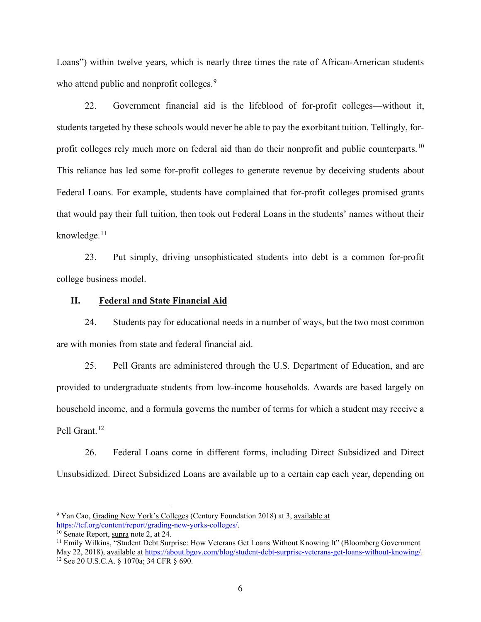Loans") within twelve years, which is nearly three times the rate of African-American students who attend public and nonprofit colleges.<sup>9</sup>

22. Government financial aid is the lifeblood of for-profit colleges—without it, students targeted by these schools would never be able to pay the exorbitant tuition. Tellingly, forprofit colleges rely much more on federal aid than do their nonprofit and public counterparts.<sup>10</sup> This reliance has led some for-profit colleges to generate revenue by deceiving students about Federal Loans. For example, students have complained that for-profit colleges promised grants that would pay their full tuition, then took out Federal Loans in the students' names without their knowledge. $11$ 

23. Put simply, driving unsophisticated students into debt is a common for-profit college business model.

### **II. Federal and State Financial Aid**

24. Students pay for educational needs in a number of ways, but the two most common are with monies from state and federal financial aid.

25. Pell Grants are administered through the U.S. Department of Education, and are provided to undergraduate students from low-income households. Awards are based largely on household income, and a formula governs the number of terms for which a student may receive a Pell Grant.<sup>12</sup>

26. Federal Loans come in different forms, including Direct Subsidized and Direct Unsubsidized. Direct Subsidized Loans are available up to a certain cap each year, depending on

<sup>9</sup> Yan Cao, Grading New York's Colleges (Century Foundation 2018) at 3, available at https://tcf.org/content/report/grading-new-yorks-colleges/.<br><sup>10</sup> Senate Report, supra note 2, at 24.

<sup>&</sup>lt;sup>11</sup> Emily Wilkins, "Student Debt Surprise: How Veterans Get Loans Without Knowing It" (Bloomberg Government May 22, 2018), available at https://about.bgov.com/blog/student-debt-surprise-veterans-get-loans-without-knowing/.<br><sup>12</sup> See 20 U.S.C.A. § 1070a; 34 CFR § 690.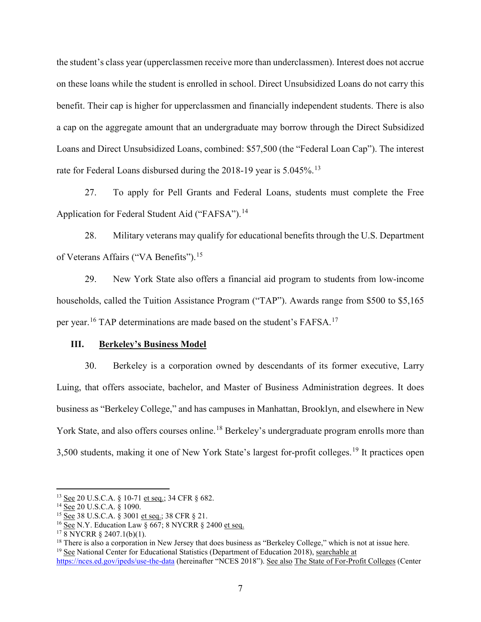the student's class year (upperclassmen receive more than underclassmen). Interest does not accrue on these loans while the student is enrolled in school. Direct Unsubsidized Loans do not carry this benefit. Their cap is higher for upperclassmen and financially independent students. There is also a cap on the aggregate amount that an undergraduate may borrow through the Direct Subsidized Loans and Direct Unsubsidized Loans, combined: \$57,500 (the "Federal Loan Cap"). The interest rate for Federal Loans disbursed during the 2018-19 year is 5.045%.<sup>13</sup>

27. To apply for Pell Grants and Federal Loans, students must complete the Free Application for Federal Student Aid ("FAFSA").<sup>14</sup>

28. Military veterans may qualify for educational benefits through the U.S. Department of Veterans Affairs ("VA Benefits").<sup>15</sup>

29. New York State also offers a financial aid program to students from low-income households, called the Tuition Assistance Program ("TAP"). Awards range from \$500 to \$5,165 per year.<sup>16</sup> TAP determinations are made based on the student's FAFSA.<sup>17</sup>

#### **III. Berkeley's Business Model**

30. Berkeley is a corporation owned by descendants of its former executive, Larry Luing, that offers associate, bachelor, and Master of Business Administration degrees. It does business as "Berkeley College," and has campuses in Manhattan, Brooklyn, and elsewhere in New York State, and also offers courses online.<sup>18</sup> Berkeley's undergraduate program enrolls more than 3,500 students, making it one of New York State's largest for-profit colleges.<sup>19</sup> It practices open

<sup>13</sup> See 20 U.S.C.A. § 10-71 et seq.; 34 CFR § 682.

 $14 \overline{\text{See}}$  20 U.S.C.A.  $\frac{8}{9}$  1090.

 $^{15}$  See 38 U.S.C.A. § 3001 et seq.; 38 CFR § 21.

<sup>&</sup>lt;sup>16</sup> See N.Y. Education Law  $\S$  667; 8 NYCRR  $\S$  2400 et seq.

 $17.8$  NYCRR § 2407.1(b)(1).

<sup>&</sup>lt;sup>18</sup> There is also a corporation in New Jersey that does business as "Berkeley College," which is not at issue here.  $19$  See National Center for Educational Statistics (Department of Education 2018), searchable at

https://nces.ed.gov/ipeds/use-the-data (hereinafter "NCES 2018"). See also The State of For-Profit Colleges (Center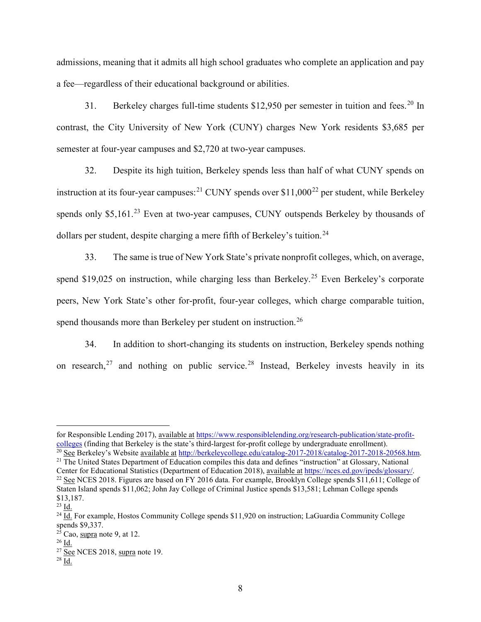admissions, meaning that it admits all high school graduates who complete an application and pay a fee—regardless of their educational background or abilities.

31. Berkeley charges full-time students  $$12,950$  per semester in tuition and fees.<sup>20</sup> In contrast, the City University of New York (CUNY) charges New York residents \$3,685 per semester at four-year campuses and \$2,720 at two-year campuses.

32. Despite its high tuition, Berkeley spends less than half of what CUNY spends on instruction at its four-year campuses:<sup>21</sup> CUNY spends over \$11,000<sup>22</sup> per student, while Berkeley spends only  $$5,161<sup>23</sup>$  Even at two-year campuses, CUNY outspends Berkeley by thousands of dollars per student, despite charging a mere fifth of Berkeley's tuition.<sup>24</sup>

33. The same is true of New York State's private nonprofit colleges, which, on average, spend \$19,025 on instruction, while charging less than Berkeley.<sup>25</sup> Even Berkeley's corporate peers, New York State's other for-profit, four-year colleges, which charge comparable tuition, spend thousands more than Berkeley per student on instruction.<sup>26</sup>

34. In addition to short-changing its students on instruction, Berkeley spends nothing on research,<sup>27</sup> and nothing on public service.<sup>28</sup> Instead, Berkeley invests heavily in its

for Responsible Lending 2017), available at https://www.responsiblelending.org/research-publication/state-profitcolleges (finding that Berkeley is the state's third-largest for-profit college by undergraduate enrollment).

<sup>&</sup>lt;sup>20</sup> See Berkeley's Website <u>available at http://berkeleycollege.edu/catalog-2017-2018/catalog-2017-2018-20568.htm</u>.<br><sup>21</sup> The United States Department of Education compiles this data and defines "instruction" at Glossary,

Center for Educational Statistics (Department of Education 2018), <u>available at https://nces.ed.gov/ipeds/glossary/</u>.<br><sup>22</sup> <u>See</u> NCES 2018. Figures are based on FY 2016 data. For example, Brooklyn College spends \$11,611; C

Staten Island spends \$11,062; John Jay College of Criminal Justice spends \$13,581; Lehman College spends

 $\frac{23}{10}$  Id.<br><sup>24</sup> Id. For example, Hostos Community College spends \$11,920 on instruction; LaGuardia Community College spends \$9,337.

 $2\overline{5}$  Cao, supra note 9, at 12.

 $26$  Id.

 $\frac{27}{28}$  See NCES 2018, supra note 19.<br> $\frac{28}{1d}$ .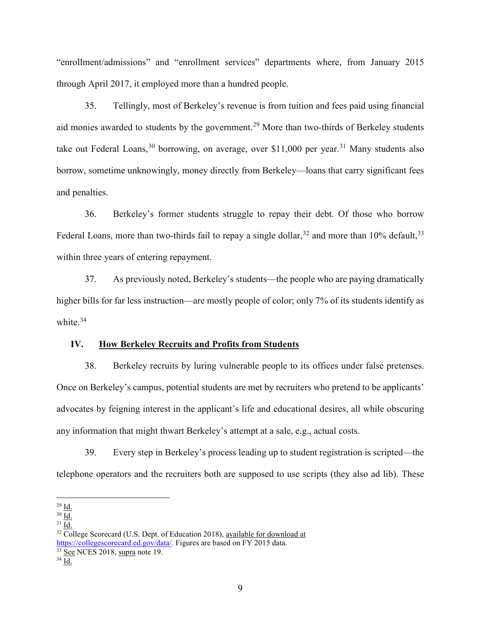"enrollment/admissions" and "enrollment services" departments where, from January 2015 through April 2017, it employed more than a hundred people.

35. Tellingly, most of Berkeley's revenue is from tuition and fees paid using financial aid monies awarded to students by the government.<sup>29</sup> More than two-thirds of Berkeley students take out Federal Loans,  $30$  borrowing, on average, over \$11,000 per year.  $31$  Many students also borrow, sometime unknowingly, money directly from Berkeley—loans that carry significant fees and penalties.

36. Berkeley's former students struggle to repay their debt. Of those who borrow Federal Loans, more than two-thirds fail to repay a single dollar,  $32$  and more than 10% default,  $33$ within three years of entering repayment.

37. As previously noted, Berkeley's students—the people who are paying dramatically higher bills for far less instruction—are mostly people of color; only 7% of its students identify as white. 34

#### **IV. How Berkeley Recruits and Profits from Students**

38. Berkeley recruits by luring vulnerable people to its offices under false pretenses. Once on Berkeley's campus, potential students are met by recruiters who pretend to be applicants' advocates by feigning interest in the applicant's life and educational desires, all while obscuring any information that might thwart Berkeley's attempt at a sale, e.g., actual costs.

39. Every step in Berkeley's process leading up to student registration is scripted—the telephone operators and the recruiters both are supposed to use scripts (they also ad lib). These

 $\overline{a}$ 

 $\frac{29}{30}$   $\frac{\text{Id.}}{\text{Id.}}$ 

 $31$  Id.

<sup>&</sup>lt;sup>32</sup> College Scorecard (U.S. Dept. of Education 2018), available for download at https://collegescorecard.ed.gov/data/. Figures are based on FY 2015 data.

 $\frac{33}{34}$  <u>See</u> NCES 2018, supra note 19.<br> $\frac{34 \text{ Id.}}{1 \text{ d.}}$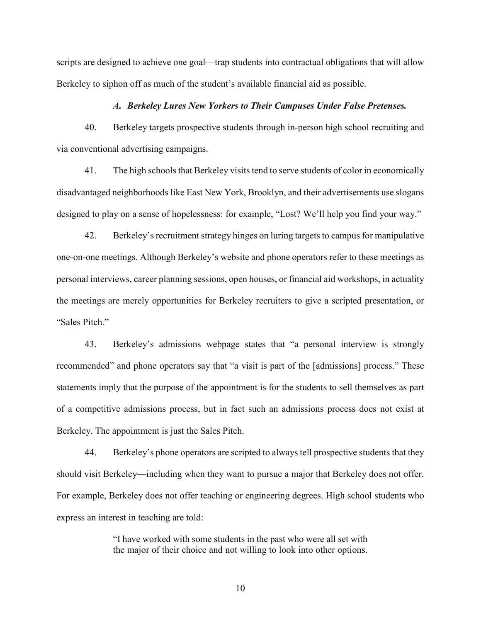scripts are designed to achieve one goal—trap students into contractual obligations that will allow Berkeley to siphon off as much of the student's available financial aid as possible.

#### *A. Berkeley Lures New Yorkers to Their Campuses Under False Pretenses.*

40. Berkeley targets prospective students through in-person high school recruiting and via conventional advertising campaigns.

41. The high schools that Berkeley visits tend to serve students of color in economically disadvantaged neighborhoods like East New York, Brooklyn, and their advertisements use slogans designed to play on a sense of hopelessness: for example, "Lost? We'll help you find your way."

42. Berkeley's recruitment strategy hinges on luring targets to campus for manipulative one-on-one meetings. Although Berkeley's website and phone operators refer to these meetings as personal interviews, career planning sessions, open houses, or financial aid workshops, in actuality the meetings are merely opportunities for Berkeley recruiters to give a scripted presentation, or "Sales Pitch."

43. Berkeley's admissions webpage states that "a personal interview is strongly recommended" and phone operators say that "a visit is part of the [admissions] process." These statements imply that the purpose of the appointment is for the students to sell themselves as part of a competitive admissions process, but in fact such an admissions process does not exist at Berkeley. The appointment is just the Sales Pitch.

44. Berkeley's phone operators are scripted to always tell prospective students that they should visit Berkeley—including when they want to pursue a major that Berkeley does not offer. For example, Berkeley does not offer teaching or engineering degrees. High school students who express an interest in teaching are told:

> "I have worked with some students in the past who were all set with the major of their choice and not willing to look into other options.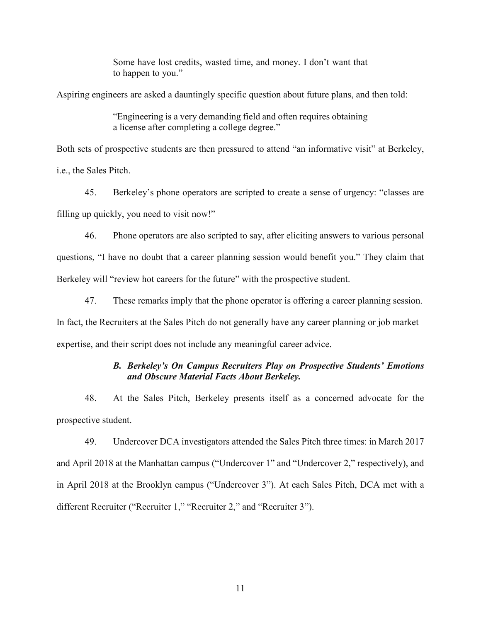Some have lost credits, wasted time, and money. I don't want that to happen to you."

Aspiring engineers are asked a dauntingly specific question about future plans, and then told:

"Engineering is a very demanding field and often requires obtaining a license after completing a college degree."

Both sets of prospective students are then pressured to attend "an informative visit" at Berkeley, i.e., the Sales Pitch.

45. Berkeley's phone operators are scripted to create a sense of urgency: "classes are filling up quickly, you need to visit now!"

46. Phone operators are also scripted to say, after eliciting answers to various personal questions, "I have no doubt that a career planning session would benefit you." They claim that Berkeley will "review hot careers for the future" with the prospective student.

47. These remarks imply that the phone operator is offering a career planning session.

In fact, the Recruiters at the Sales Pitch do not generally have any career planning or job market expertise, and their script does not include any meaningful career advice.

### *B. Berkeley's On Campus Recruiters Play on Prospective Students' Emotions and Obscure Material Facts About Berkeley.*

48. At the Sales Pitch, Berkeley presents itself as a concerned advocate for the prospective student.

49. Undercover DCA investigators attended the Sales Pitch three times: in March 2017 and April 2018 at the Manhattan campus ("Undercover 1" and "Undercover 2," respectively), and in April 2018 at the Brooklyn campus ("Undercover 3"). At each Sales Pitch, DCA met with a different Recruiter ("Recruiter 1," "Recruiter 2," and "Recruiter 3").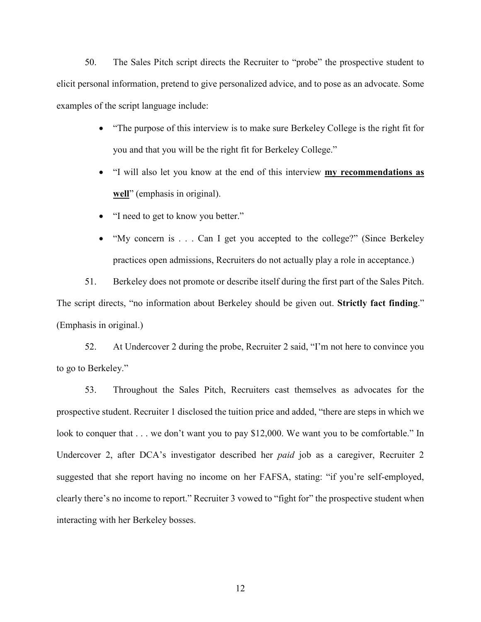50. The Sales Pitch script directs the Recruiter to "probe" the prospective student to elicit personal information, pretend to give personalized advice, and to pose as an advocate. Some examples of the script language include:

- "The purpose of this interview is to make sure Berkeley College is the right fit for you and that you will be the right fit for Berkeley College."
- "I will also let you know at the end of this interview **my recommendations as well**" (emphasis in original).
- "I need to get to know you better."
- "My concern is . . . Can I get you accepted to the college?" (Since Berkeley practices open admissions, Recruiters do not actually play a role in acceptance.)

51. Berkeley does not promote or describe itself during the first part of the Sales Pitch. The script directs, "no information about Berkeley should be given out. **Strictly fact finding**." (Emphasis in original.)

52. At Undercover 2 during the probe, Recruiter 2 said, "I'm not here to convince you to go to Berkeley."

53. Throughout the Sales Pitch, Recruiters cast themselves as advocates for the prospective student. Recruiter 1 disclosed the tuition price and added, "there are steps in which we look to conquer that . . . we don't want you to pay \$12,000. We want you to be comfortable." In Undercover 2, after DCA's investigator described her *paid* job as a caregiver, Recruiter 2 suggested that she report having no income on her FAFSA, stating: "if you're self-employed, clearly there's no income to report." Recruiter 3 vowed to "fight for" the prospective student when interacting with her Berkeley bosses.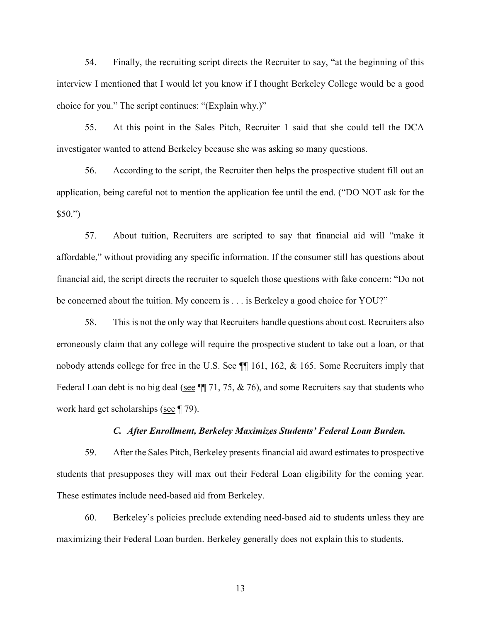54. Finally, the recruiting script directs the Recruiter to say, "at the beginning of this interview I mentioned that I would let you know if I thought Berkeley College would be a good choice for you." The script continues: "(Explain why.)"

55. At this point in the Sales Pitch, Recruiter 1 said that she could tell the DCA investigator wanted to attend Berkeley because she was asking so many questions.

56. According to the script, the Recruiter then helps the prospective student fill out an application, being careful not to mention the application fee until the end. ("DO NOT ask for the  $$50."$ 

57. About tuition, Recruiters are scripted to say that financial aid will "make it affordable," without providing any specific information. If the consumer still has questions about financial aid, the script directs the recruiter to squelch those questions with fake concern: "Do not be concerned about the tuition. My concern is . . . is Berkeley a good choice for YOU?"

58. This is not the only way that Recruiters handle questions about cost. Recruiters also erroneously claim that any college will require the prospective student to take out a loan, or that nobody attends college for free in the U.S. See  $\P$  161, 162, & 165. Some Recruiters imply that Federal Loan debt is no big deal (see  $\P$  71, 75, & 76), and some Recruiters say that students who work hard get scholarships (see ¶ 79).

#### *C. After Enrollment, Berkeley Maximizes Students' Federal Loan Burden.*

59. After the Sales Pitch, Berkeley presents financial aid award estimates to prospective students that presupposes they will max out their Federal Loan eligibility for the coming year. These estimates include need-based aid from Berkeley.

60. Berkeley's policies preclude extending need-based aid to students unless they are maximizing their Federal Loan burden. Berkeley generally does not explain this to students.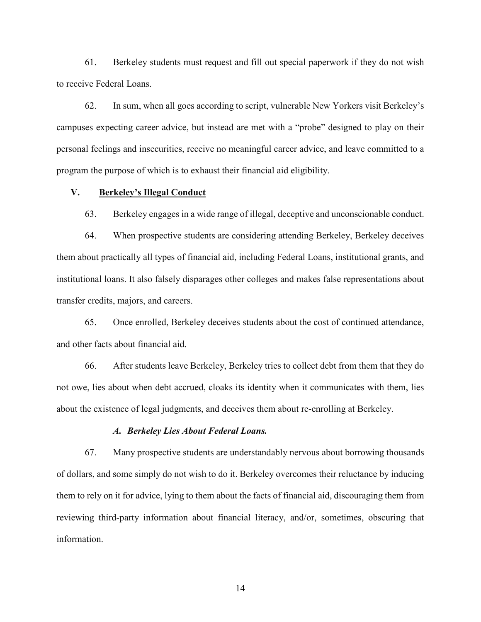61. Berkeley students must request and fill out special paperwork if they do not wish to receive Federal Loans.

62. In sum, when all goes according to script, vulnerable New Yorkers visit Berkeley's campuses expecting career advice, but instead are met with a "probe" designed to play on their personal feelings and insecurities, receive no meaningful career advice, and leave committed to a program the purpose of which is to exhaust their financial aid eligibility.

#### **V. Berkeley's Illegal Conduct**

63. Berkeley engages in a wide range of illegal, deceptive and unconscionable conduct.

64. When prospective students are considering attending Berkeley, Berkeley deceives them about practically all types of financial aid, including Federal Loans, institutional grants, and institutional loans. It also falsely disparages other colleges and makes false representations about transfer credits, majors, and careers.

65. Once enrolled, Berkeley deceives students about the cost of continued attendance, and other facts about financial aid.

66. After students leave Berkeley, Berkeley tries to collect debt from them that they do not owe, lies about when debt accrued, cloaks its identity when it communicates with them, lies about the existence of legal judgments, and deceives them about re-enrolling at Berkeley.

#### *A. Berkeley Lies About Federal Loans.*

67. Many prospective students are understandably nervous about borrowing thousands of dollars, and some simply do not wish to do it. Berkeley overcomes their reluctance by inducing them to rely on it for advice, lying to them about the facts of financial aid, discouraging them from reviewing third-party information about financial literacy, and/or, sometimes, obscuring that information.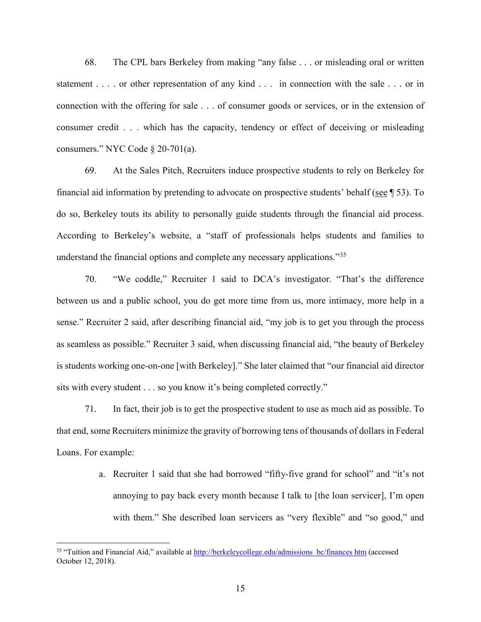68. The CPL bars Berkeley from making "any false . . . or misleading oral or written statement . . . . or other representation of any kind . . . in connection with the sale . . . or in connection with the offering for sale . . . of consumer goods or services, or in the extension of consumer credit . . . which has the capacity, tendency or effect of deceiving or misleading consumers." NYC Code § 20-701(a).

69. At the Sales Pitch, Recruiters induce prospective students to rely on Berkeley for financial aid information by pretending to advocate on prospective students' behalf (see ¶ 53). To do so, Berkeley touts its ability to personally guide students through the financial aid process. According to Berkeley's website, a "staff of professionals helps students and families to understand the financial options and complete any necessary applications.<sup>35</sup>

70. "We coddle," Recruiter 1 said to DCA's investigator. "That's the difference between us and a public school, you do get more time from us, more intimacy, more help in a sense." Recruiter 2 said, after describing financial aid, "my job is to get you through the process as seamless as possible." Recruiter 3 said, when discussing financial aid, "the beauty of Berkeley is students working one-on-one [with Berkeley]." She later claimed that "our financial aid director sits with every student . . . so you know it's being completed correctly."

71. In fact, their job is to get the prospective student to use as much aid as possible. To that end, some Recruiters minimize the gravity of borrowing tens of thousands of dollars in Federal Loans. For example:

> a. Recruiter 1 said that she had borrowed "fifty-five grand for school" and "it's not annoying to pay back every month because I talk to [the loan servicer], I'm open with them." She described loan servicers as "very flexible" and "so good," and

<sup>&</sup>lt;sup>35</sup> "Tuition and Financial Aid," available at http://berkeleycollege.edu/admissions bc/finances htm (accessed October 12, 2018).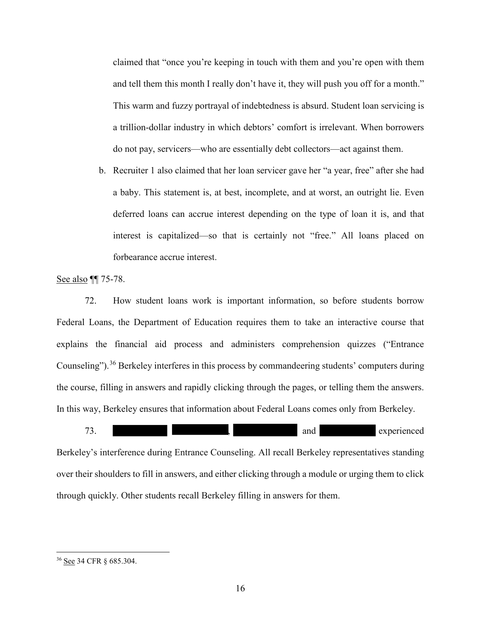claimed that "once you're keeping in touch with them and you're open with them and tell them this month I really don't have it, they will push you off for a month." This warm and fuzzy portrayal of indebtedness is absurd. Student loan servicing is a trillion-dollar industry in which debtors' comfort is irrelevant. When borrowers do not pay, servicers—who are essentially debt collectors—act against them.

b. Recruiter 1 also claimed that her loan servicer gave her "a year, free" after she had a baby. This statement is, at best, incomplete, and at worst, an outright lie. Even deferred loans can accrue interest depending on the type of loan it is, and that interest is capitalized—so that is certainly not "free." All loans placed on forbearance accrue interest.

See also **[1]** 75-78.

72. How student loans work is important information, so before students borrow Federal Loans, the Department of Education requires them to take an interactive course that explains the financial aid process and administers comprehension quizzes ("Entrance Counseling").<sup>36</sup> Berkeley interferes in this process by commandeering students' computers during the course, filling in answers and rapidly clicking through the pages, or telling them the answers. In this way, Berkeley ensures that information about Federal Loans comes only from Berkeley.



Berkeley's interference during Entrance Counseling. All recall Berkeley representatives standing over their shoulders to fill in answers, and either clicking through a module or urging them to click through quickly. Other students recall Berkeley filling in answers for them.

<sup>36</sup> See 34 CFR § 685.304.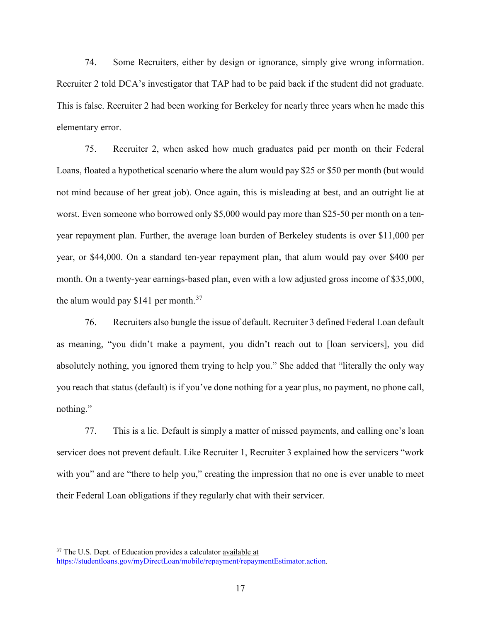74. Some Recruiters, either by design or ignorance, simply give wrong information. Recruiter 2 told DCA's investigator that TAP had to be paid back if the student did not graduate. This is false. Recruiter 2 had been working for Berkeley for nearly three years when he made this elementary error.

75. Recruiter 2, when asked how much graduates paid per month on their Federal Loans, floated a hypothetical scenario where the alum would pay \$25 or \$50 per month (but would not mind because of her great job). Once again, this is misleading at best, and an outright lie at worst. Even someone who borrowed only \$5,000 would pay more than \$25-50 per month on a tenyear repayment plan. Further, the average loan burden of Berkeley students is over \$11,000 per year, or \$44,000. On a standard ten-year repayment plan, that alum would pay over \$400 per month. On a twenty-year earnings-based plan, even with a low adjusted gross income of \$35,000, the alum would pay  $$141$  per month.<sup>37</sup>

76. Recruiters also bungle the issue of default. Recruiter 3 defined Federal Loan default as meaning, "you didn't make a payment, you didn't reach out to [loan servicers], you did absolutely nothing, you ignored them trying to help you." She added that "literally the only way you reach that status (default) is if you've done nothing for a year plus, no payment, no phone call, nothing."

77. This is a lie. Default is simply a matter of missed payments, and calling one's loan servicer does not prevent default. Like Recruiter 1, Recruiter 3 explained how the servicers "work with you" and are "there to help you," creating the impression that no one is ever unable to meet their Federal Loan obligations if they regularly chat with their servicer.

 $37$  The U.S. Dept. of Education provides a calculator available at https://studentloans.gov/myDirectLoan/mobile/repayment/repaymentEstimator.action.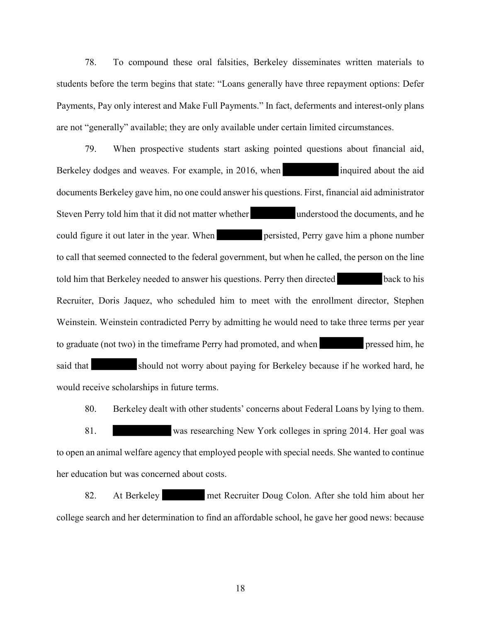78. To compound these oral falsities, Berkeley disseminates written materials to students before the term begins that state: "Loans generally have three repayment options: Defer Payments, Pay only interest and Make Full Payments." In fact, deferments and interest-only plans are not "generally" available; they are only available under certain limited circumstances.

79. When prospective students start asking pointed questions about financial aid, Berkeley dodges and weaves. For example, in 2016, when inquired about the aid documents Berkeley gave him, no one could answer his questions. First, financial aid administrator Steven Perry told him that it did not matter whether understood the documents, and he could figure it out later in the year. When persisted, Perry gave him a phone number to call that seemed connected to the federal government, but when he called, the person on the line told him that Berkeley needed to answer his questions. Perry then directed back to his Recruiter, Doris Jaquez, who scheduled him to meet with the enrollment director, Stephen Weinstein. Weinstein contradicted Perry by admitting he would need to take three terms per year to graduate (not two) in the timeframe Perry had promoted, and when pressed him, he said that should not worry about paying for Berkeley because if he worked hard, he would receive scholarships in future terms.

80. Berkeley dealt with other students' concerns about Federal Loans by lying to them.

81. was researching New York colleges in spring 2014. Her goal was to open an animal welfare agency that employed people with special needs. She wanted to continue her education but was concerned about costs.

82. At Berkeley met Recruiter Doug Colon. After she told him about her college search and her determination to find an affordable school, he gave her good news: because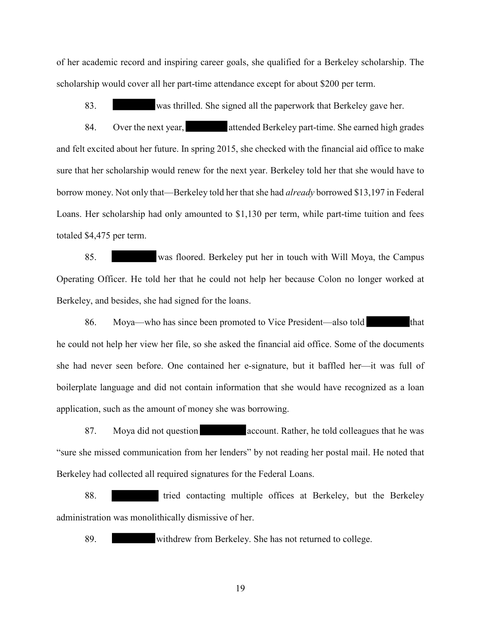of her academic record and inspiring career goals, she qualified for a Berkeley scholarship. The scholarship would cover all her part-time attendance except for about \$200 per term.

83. was thrilled. She signed all the paperwork that Berkeley gave her.

84. Over the next year, attended Berkeley part-time. She earned high grades and felt excited about her future. In spring 2015, she checked with the financial aid office to make sure that her scholarship would renew for the next year. Berkeley told her that she would have to borrow money. Not only that—Berkeley told her that she had *already* borrowed \$13,197 in Federal Loans. Her scholarship had only amounted to \$1,130 per term, while part-time tuition and fees totaled \$4,475 per term.

85. was floored. Berkeley put her in touch with Will Moya, the Campus Operating Officer. He told her that he could not help her because Colon no longer worked at Berkeley, and besides, she had signed for the loans.

86. Moya—who has since been promoted to Vice President—also told that he could not help her view her file, so she asked the financial aid office. Some of the documents she had never seen before. One contained her e-signature, but it baffled her—it was full of boilerplate language and did not contain information that she would have recognized as a loan application, such as the amount of money she was borrowing.

87. Moya did not question account. Rather, he told colleagues that he was "sure she missed communication from her lenders" by not reading her postal mail. He noted that Berkeley had collected all required signatures for the Federal Loans.

88. tried contacting multiple offices at Berkeley, but the Berkeley administration was monolithically dismissive of her.

89. withdrew from Berkeley. She has not returned to college.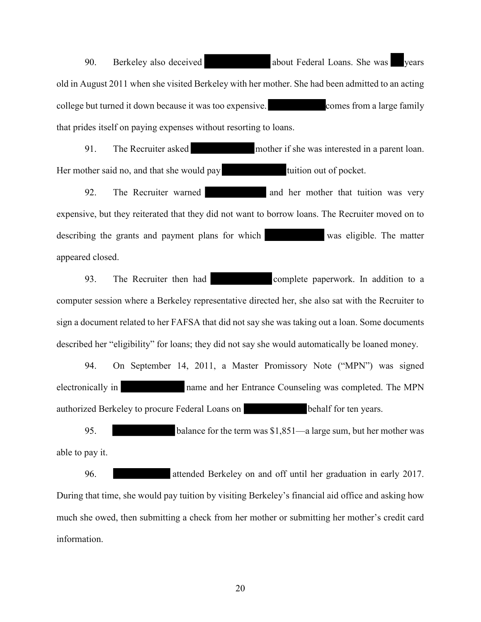90. Berkeley also deceived **about Federal Loans.** She was vears old in August 2011 when she visited Berkeley with her mother. She had been admitted to an acting college but turned it down because it was too expensive. comes from a large family that prides itself on paying expenses without resorting to loans.

91. The Recruiter asked mother if she was interested in a parent loan. Her mother said no, and that she would pay tuition out of pocket.

92. The Recruiter warned and her mother that tuition was very expensive, but they reiterated that they did not want to borrow loans. The Recruiter moved on to describing the grants and payment plans for which was eligible. The matter appeared closed.

93. The Recruiter then had complete paperwork. In addition to a computer session where a Berkeley representative directed her, she also sat with the Recruiter to sign a document related to her FAFSA that did not say she was taking out a loan. Some documents described her "eligibility" for loans; they did not say she would automatically be loaned money.

94. On September 14, 2011, a Master Promissory Note ("MPN") was signed electronically in name and her Entrance Counseling was completed. The MPN authorized Berkeley to procure Federal Loans on behalf for ten years.

95. balance for the term was \$1,851—a large sum, but her mother was able to pay it.

96. attended Berkeley on and off until her graduation in early 2017. During that time, she would pay tuition by visiting Berkeley's financial aid office and asking how much she owed, then submitting a check from her mother or submitting her mother's credit card information.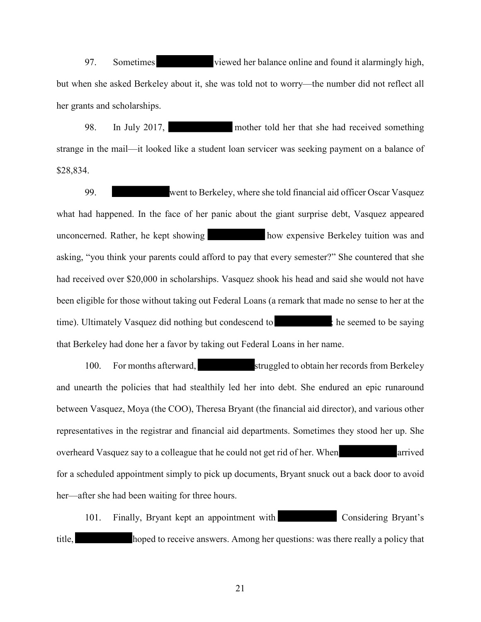97. Sometimes viewed her balance online and found it alarmingly high, but when she asked Berkeley about it, she was told not to worry—the number did not reflect all her grants and scholarships.

98. In July 2017, mother told her that she had received something strange in the mail—it looked like a student loan servicer was seeking payment on a balance of \$28,834.

99. went to Berkeley, where she told financial aid officer Oscar Vasquez what had happened. In the face of her panic about the giant surprise debt, Vasquez appeared unconcerned. Rather, he kept showing how expensive Berkeley tuition was and asking, "you think your parents could afford to pay that every semester?" She countered that she had received over \$20,000 in scholarships. Vasquez shook his head and said she would not have been eligible for those without taking out Federal Loans (a remark that made no sense to her at the time). Ultimately Vasquez did nothing but condescend to interval to its seemed to be saying that Berkeley had done her a favor by taking out Federal Loans in her name.

100. For months afterward, struggled to obtain her records from Berkeley and unearth the policies that had stealthily led her into debt. She endured an epic runaround between Vasquez, Moya (the COO), Theresa Bryant (the financial aid director), and various other representatives in the registrar and financial aid departments. Sometimes they stood her up. She overheard Vasquez say to a colleague that he could not get rid of her. When arrived for a scheduled appointment simply to pick up documents, Bryant snuck out a back door to avoid her—after she had been waiting for three hours.

101. Finally, Bryant kept an appointment with Considering Bryant's title, hoped to receive answers. Among her questions: was there really a policy that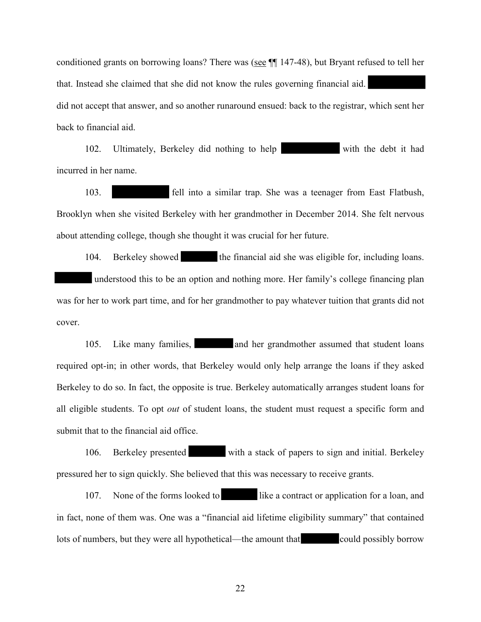conditioned grants on borrowing loans? There was (see ¶¶ 147-48), but Bryant refused to tell her that. Instead she claimed that she did not know the rules governing financial aid. did not accept that answer, and so another runaround ensued: back to the registrar, which sent her back to financial aid.

102. Ultimately, Berkeley did nothing to help with the debt it had incurred in her name.

103. fell into a similar trap. She was a teenager from East Flatbush, Brooklyn when she visited Berkeley with her grandmother in December 2014. She felt nervous about attending college, though she thought it was crucial for her future.

104. Berkeley showed the financial aid she was eligible for, including loans. understood this to be an option and nothing more. Her family's college financing plan was for her to work part time, and for her grandmother to pay whatever tuition that grants did not cover.

105. Like many families, and her grandmother assumed that student loans required opt-in; in other words, that Berkeley would only help arrange the loans if they asked Berkeley to do so. In fact, the opposite is true. Berkeley automatically arranges student loans for all eligible students. To opt *out* of student loans, the student must request a specific form and submit that to the financial aid office.

106. Berkeley presented with a stack of papers to sign and initial. Berkeley pressured her to sign quickly. She believed that this was necessary to receive grants.

107. None of the forms looked to like a contract or application for a loan, and in fact, none of them was. One was a "financial aid lifetime eligibility summary" that contained lots of numbers, but they were all hypothetical—the amount that could possibly borrow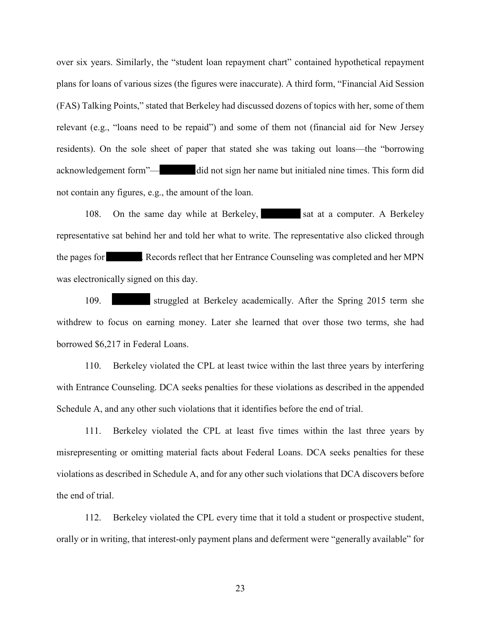over six years. Similarly, the "student loan repayment chart" contained hypothetical repayment plans for loans of various sizes (the figures were inaccurate). A third form, "Financial Aid Session (FAS) Talking Points," stated that Berkeley had discussed dozens of topics with her, some of them relevant (e.g., "loans need to be repaid") and some of them not (financial aid for New Jersey residents). On the sole sheet of paper that stated she was taking out loans—the "borrowing acknowledgement form"— did not sign her name but initialed nine times. This form did not contain any figures, e.g., the amount of the loan.

108. On the same day while at Berkeley, sat at a computer. A Berkeley representative sat behind her and told her what to write. The representative also clicked through the pages for . Records reflect that her Entrance Counseling was completed and her MPN was electronically signed on this day.

109. struggled at Berkeley academically. After the Spring 2015 term she withdrew to focus on earning money. Later she learned that over those two terms, she had borrowed \$6,217 in Federal Loans.

110. Berkeley violated the CPL at least twice within the last three years by interfering with Entrance Counseling. DCA seeks penalties for these violations as described in the appended Schedule A, and any other such violations that it identifies before the end of trial.

111. Berkeley violated the CPL at least five times within the last three years by misrepresenting or omitting material facts about Federal Loans. DCA seeks penalties for these violations as described in Schedule A, and for any other such violations that DCA discovers before the end of trial.

112. Berkeley violated the CPL every time that it told a student or prospective student, orally or in writing, that interest-only payment plans and deferment were "generally available" for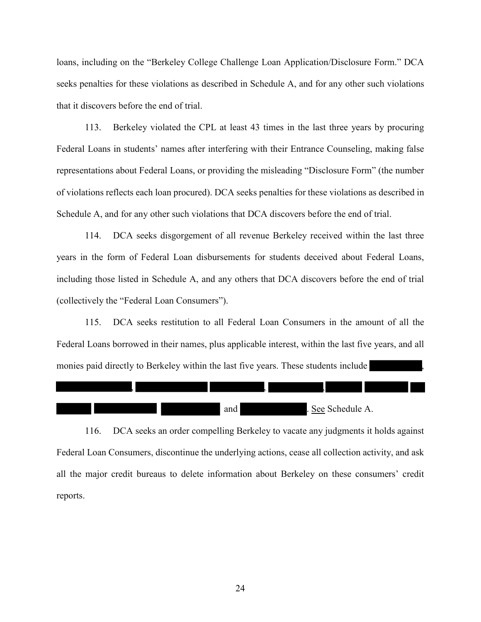loans, including on the "Berkeley College Challenge Loan Application/Disclosure Form." DCA seeks penalties for these violations as described in Schedule A, and for any other such violations that it discovers before the end of trial.

113. Berkeley violated the CPL at least 43 times in the last three years by procuring Federal Loans in students' names after interfering with their Entrance Counseling, making false representations about Federal Loans, or providing the misleading "Disclosure Form" (the number of violations reflects each loan procured). DCA seeks penalties for these violations as described in Schedule A, and for any other such violations that DCA discovers before the end of trial.

114. DCA seeks disgorgement of all revenue Berkeley received within the last three years in the form of Federal Loan disbursements for students deceived about Federal Loans, including those listed in Schedule A, and any others that DCA discovers before the end of trial (collectively the "Federal Loan Consumers").

115. DCA seeks restitution to all Federal Loan Consumers in the amount of all the Federal Loans borrowed in their names, plus applicable interest, within the last five years, and all monies paid directly to Berkeley within the last five years. These students include



116. DCA seeks an order compelling Berkeley to vacate any judgments it holds against Federal Loan Consumers, discontinue the underlying actions, cease all collection activity, and ask all the major credit bureaus to delete information about Berkeley on these consumers' credit reports.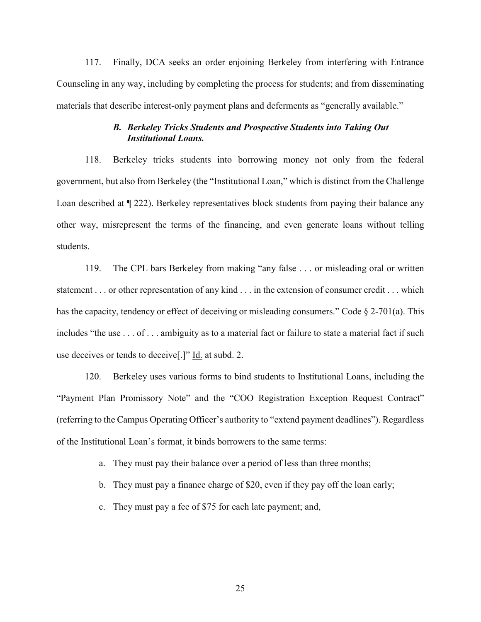117. Finally, DCA seeks an order enjoining Berkeley from interfering with Entrance Counseling in any way, including by completing the process for students; and from disseminating materials that describe interest-only payment plans and deferments as "generally available."

### *B. Berkeley Tricks Students and Prospective Students into Taking Out Institutional Loans.*

118. Berkeley tricks students into borrowing money not only from the federal government, but also from Berkeley (the "Institutional Loan," which is distinct from the Challenge Loan described at ¶ 222). Berkeley representatives block students from paying their balance any other way, misrepresent the terms of the financing, and even generate loans without telling students.

119. The CPL bars Berkeley from making "any false . . . or misleading oral or written statement . . . or other representation of any kind . . . in the extension of consumer credit . . . which has the capacity, tendency or effect of deceiving or misleading consumers." Code  $\S$  2-701(a). This includes "the use . . . of . . . ambiguity as to a material fact or failure to state a material fact if such use deceives or tends to deceive[.]" Id. at subd. 2.

120. Berkeley uses various forms to bind students to Institutional Loans, including the "Payment Plan Promissory Note" and the "COO Registration Exception Request Contract" (referring to the Campus Operating Officer's authority to "extend payment deadlines"). Regardless of the Institutional Loan's format, it binds borrowers to the same terms:

- a. They must pay their balance over a period of less than three months;
- b. They must pay a finance charge of \$20, even if they pay off the loan early;
- c. They must pay a fee of \$75 for each late payment; and,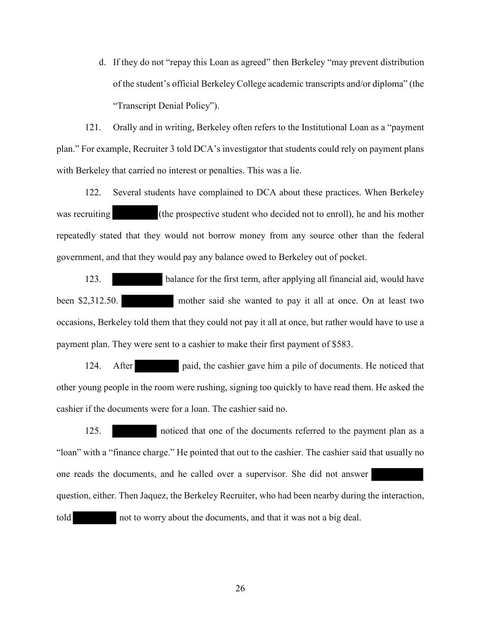d. If they do not "repay this Loan as agreed" then Berkeley "may prevent distribution of the student's official Berkeley College academic transcripts and/or diploma" (the "Transcript Denial Policy").

121. Orally and in writing, Berkeley often refers to the Institutional Loan as a "payment plan." For example, Recruiter 3 told DCA's investigator that students could rely on payment plans with Berkeley that carried no interest or penalties. This was a lie.

122. Several students have complained to DCA about these practices. When Berkeley was recruiting (the prospective student who decided not to enroll), he and his mother repeatedly stated that they would not borrow money from any source other than the federal government, and that they would pay any balance owed to Berkeley out of pocket.

123. balance for the first term, after applying all financial aid, would have been \$2,312.50. mother said she wanted to pay it all at once. On at least two occasions, Berkeley told them that they could not pay it all at once, but rather would have to use a payment plan. They were sent to a cashier to make their first payment of \$583.

124. After paid, the cashier gave him a pile of documents. He noticed that other young people in the room were rushing, signing too quickly to have read them. He asked the cashier if the documents were for a loan. The cashier said no.

125. noticed that one of the documents referred to the payment plan as a "loan" with a "finance charge." He pointed that out to the cashier. The cashier said that usually no one reads the documents, and he called over a supervisor. She did not answer

question, either. Then Jaquez, the Berkeley Recruiter, who had been nearby during the interaction,

told not to worry about the documents, and that it was not a big deal.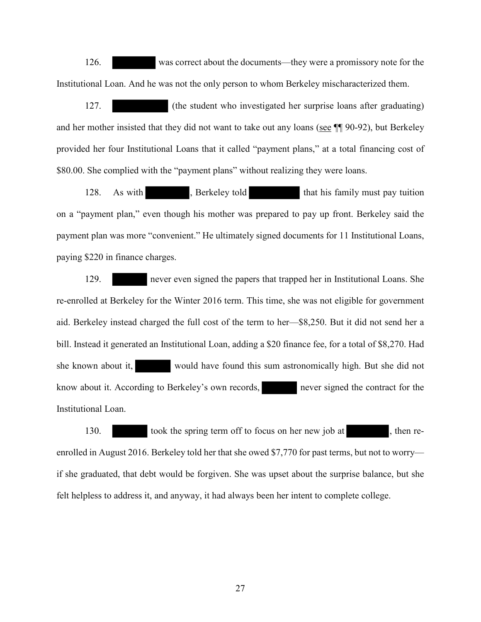126. was correct about the documents—they were a promissory note for the Institutional Loan. And he was not the only person to whom Berkeley mischaracterized them.

127. (the student who investigated her surprise loans after graduating) and her mother insisted that they did not want to take out any loans (see ¶¶ 90-92), but Berkeley provided her four Institutional Loans that it called "payment plans," at a total financing cost of \$80.00. She complied with the "payment plans" without realizing they were loans.

128. As with , Berkeley told that his family must pay tuition on a "payment plan," even though his mother was prepared to pay up front. Berkeley said the payment plan was more "convenient." He ultimately signed documents for 11 Institutional Loans, paying \$220 in finance charges.

129. never even signed the papers that trapped her in Institutional Loans. She re-enrolled at Berkeley for the Winter 2016 term. This time, she was not eligible for government aid. Berkeley instead charged the full cost of the term to her—\$8,250. But it did not send her a bill. Instead it generated an Institutional Loan, adding a \$20 finance fee, for a total of \$8,270. Had she known about it, would have found this sum astronomically high. But she did not know about it. According to Berkeley's own records, never signed the contract for the Institutional Loan.

130. took the spring term off to focus on her new job at , then reenrolled in August 2016. Berkeley told her that she owed \$7,770 for past terms, but not to worry if she graduated, that debt would be forgiven. She was upset about the surprise balance, but she felt helpless to address it, and anyway, it had always been her intent to complete college.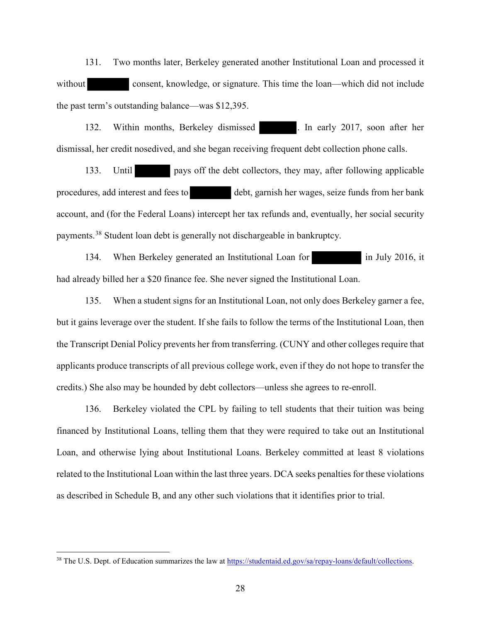131. Two months later, Berkeley generated another Institutional Loan and processed it without consent, knowledge, or signature. This time the loan—which did not include the past term's outstanding balance—was \$12,395.

132. Within months, Berkeley dismissed . In early 2017, soon after her dismissal, her credit nosedived, and she began receiving frequent debt collection phone calls.

133. Until pays off the debt collectors, they may, after following applicable procedures, add interest and fees to debt, garnish her wages, seize funds from her bank account, and (for the Federal Loans) intercept her tax refunds and, eventually, her social security payments.38 Student loan debt is generally not dischargeable in bankruptcy.

134. When Berkeley generated an Institutional Loan for in July 2016, it had already billed her a \$20 finance fee. She never signed the Institutional Loan.

135. When a student signs for an Institutional Loan, not only does Berkeley garner a fee, but it gains leverage over the student. If she fails to follow the terms of the Institutional Loan, then the Transcript Denial Policy prevents her from transferring. (CUNY and other colleges require that applicants produce transcripts of all previous college work, even if they do not hope to transfer the credits.) She also may be hounded by debt collectors—unless she agrees to re-enroll.

136. Berkeley violated the CPL by failing to tell students that their tuition was being financed by Institutional Loans, telling them that they were required to take out an Institutional Loan, and otherwise lying about Institutional Loans. Berkeley committed at least 8 violations related to the Institutional Loan within the last three years. DCA seeks penalties for these violations as described in Schedule B, and any other such violations that it identifies prior to trial.

<sup>&</sup>lt;sup>38</sup> The U.S. Dept. of Education summarizes the law at https://studentaid.ed.gov/sa/repay-loans/default/collections.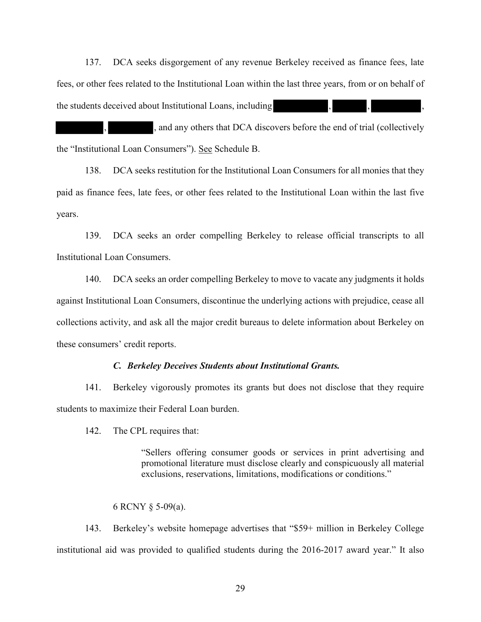137. DCA seeks disgorgement of any revenue Berkeley received as finance fees, late fees, or other fees related to the Institutional Loan within the last three years, from or on behalf of the students deceived about Institutional Loans, including

, and any others that DCA discovers before the end of trial (collectively the "Institutional Loan Consumers"). See Schedule B.

138. DCA seeks restitution for the Institutional Loan Consumers for all monies that they paid as finance fees, late fees, or other fees related to the Institutional Loan within the last five years.

139. DCA seeks an order compelling Berkeley to release official transcripts to all Institutional Loan Consumers.

140. DCA seeks an order compelling Berkeley to move to vacate any judgments it holds against Institutional Loan Consumers, discontinue the underlying actions with prejudice, cease all collections activity, and ask all the major credit bureaus to delete information about Berkeley on these consumers' credit reports.

#### *C. Berkeley Deceives Students about Institutional Grants.*

141. Berkeley vigorously promotes its grants but does not disclose that they require students to maximize their Federal Loan burden.

142. The CPL requires that:

"Sellers offering consumer goods or services in print advertising and promotional literature must disclose clearly and conspicuously all material exclusions, reservations, limitations, modifications or conditions."

#### 6 RCNY § 5-09(a).

143. Berkeley's website homepage advertises that "\$59+ million in Berkeley College institutional aid was provided to qualified students during the 2016-2017 award year." It also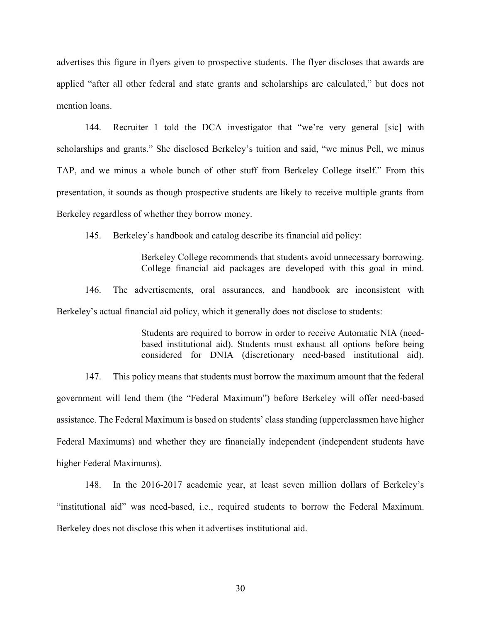advertises this figure in flyers given to prospective students. The flyer discloses that awards are applied "after all other federal and state grants and scholarships are calculated," but does not mention loans.

144. Recruiter 1 told the DCA investigator that "we're very general [sic] with scholarships and grants." She disclosed Berkeley's tuition and said, "we minus Pell, we minus TAP, and we minus a whole bunch of other stuff from Berkeley College itself." From this presentation, it sounds as though prospective students are likely to receive multiple grants from Berkeley regardless of whether they borrow money.

145. Berkeley's handbook and catalog describe its financial aid policy:

Berkeley College recommends that students avoid unnecessary borrowing. College financial aid packages are developed with this goal in mind.

146. The advertisements, oral assurances, and handbook are inconsistent with Berkeley's actual financial aid policy, which it generally does not disclose to students:

> Students are required to borrow in order to receive Automatic NIA (needbased institutional aid). Students must exhaust all options before being considered for DNIA (discretionary need-based institutional aid).

147. This policy means that students must borrow the maximum amount that the federal government will lend them (the "Federal Maximum") before Berkeley will offer need-based assistance. The Federal Maximum is based on students' class standing (upperclassmen have higher Federal Maximums) and whether they are financially independent (independent students have higher Federal Maximums).

148. In the 2016-2017 academic year, at least seven million dollars of Berkeley's "institutional aid" was need-based, i.e., required students to borrow the Federal Maximum. Berkeley does not disclose this when it advertises institutional aid.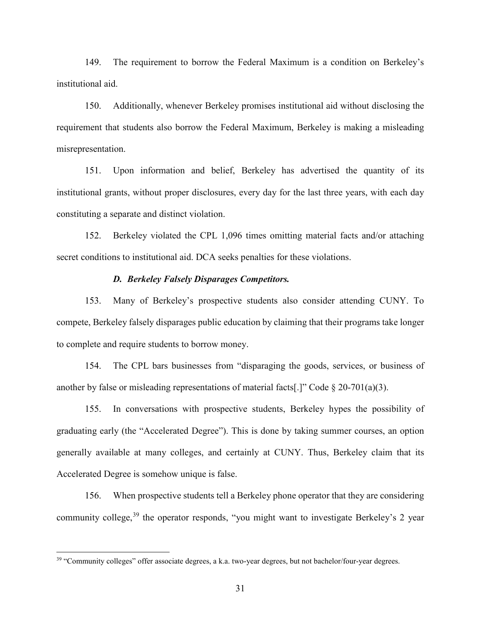149. The requirement to borrow the Federal Maximum is a condition on Berkeley's institutional aid.

150. Additionally, whenever Berkeley promises institutional aid without disclosing the requirement that students also borrow the Federal Maximum, Berkeley is making a misleading misrepresentation.

151. Upon information and belief, Berkeley has advertised the quantity of its institutional grants, without proper disclosures, every day for the last three years, with each day constituting a separate and distinct violation.

152. Berkeley violated the CPL 1,096 times omitting material facts and/or attaching secret conditions to institutional aid. DCA seeks penalties for these violations.

#### *D. Berkeley Falsely Disparages Competitors.*

153. Many of Berkeley's prospective students also consider attending CUNY. To compete, Berkeley falsely disparages public education by claiming that their programs take longer to complete and require students to borrow money.

154. The CPL bars businesses from "disparaging the goods, services, or business of another by false or misleading representations of material facts[.]" Code  $\S$  20-701(a)(3).

155. In conversations with prospective students, Berkeley hypes the possibility of graduating early (the "Accelerated Degree"). This is done by taking summer courses, an option generally available at many colleges, and certainly at CUNY. Thus, Berkeley claim that its Accelerated Degree is somehow unique is false.

156. When prospective students tell a Berkeley phone operator that they are considering community college,  $39$  the operator responds, "you might want to investigate Berkeley's 2 year

<sup>&</sup>lt;sup>39</sup> "Community colleges" offer associate degrees, a k.a. two-year degrees, but not bachelor/four-year degrees.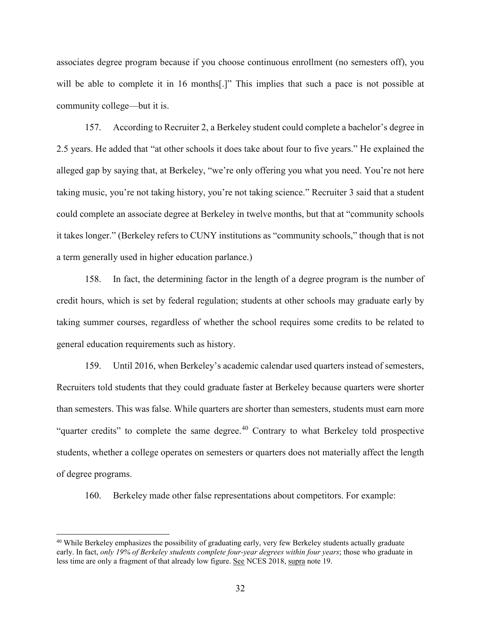associates degree program because if you choose continuous enrollment (no semesters off), you will be able to complete it in 16 months<sup>[1]</sup>. This implies that such a pace is not possible at community college—but it is.

157. According to Recruiter 2, a Berkeley student could complete a bachelor's degree in 2.5 years. He added that "at other schools it does take about four to five years." He explained the alleged gap by saying that, at Berkeley, "we're only offering you what you need. You're not here taking music, you're not taking history, you're not taking science." Recruiter 3 said that a student could complete an associate degree at Berkeley in twelve months, but that at "community schools it takes longer." (Berkeley refers to CUNY institutions as "community schools," though that is not a term generally used in higher education parlance.)

158. In fact, the determining factor in the length of a degree program is the number of credit hours, which is set by federal regulation; students at other schools may graduate early by taking summer courses, regardless of whether the school requires some credits to be related to general education requirements such as history.

159. Until 2016, when Berkeley's academic calendar used quarters instead of semesters, Recruiters told students that they could graduate faster at Berkeley because quarters were shorter than semesters. This was false. While quarters are shorter than semesters, students must earn more "quarter credits" to complete the same degree.<sup>40</sup> Contrary to what Berkeley told prospective students, whether a college operates on semesters or quarters does not materially affect the length of degree programs.

160. Berkeley made other false representations about competitors. For example:

<sup>&</sup>lt;sup>40</sup> While Berkeley emphasizes the possibility of graduating early, very few Berkeley students actually graduate early. In fact, *only 19% of Berkeley students complete four-year degrees within four years*; those who graduate in less time are only a fragment of that already low figure. See NCES 2018, supra note 19.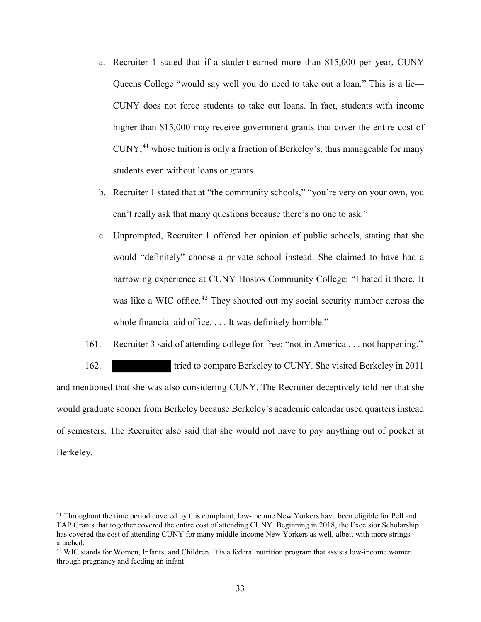- a. Recruiter 1 stated that if a student earned more than \$15,000 per year, CUNY Queens College "would say well you do need to take out a loan." This is a lie— CUNY does not force students to take out loans. In fact, students with income higher than \$15,000 may receive government grants that cover the entire cost of CUNY, 41 whose tuition is only a fraction of Berkeley's, thus manageable for many students even without loans or grants.
- b. Recruiter 1 stated that at "the community schools," "you're very on your own, you can't really ask that many questions because there's no one to ask."
- c. Unprompted, Recruiter 1 offered her opinion of public schools, stating that she would "definitely" choose a private school instead. She claimed to have had a harrowing experience at CUNY Hostos Community College: "I hated it there. It was like a WIC office.<sup>42</sup> They shouted out my social security number across the whole financial aid office. . . . It was definitely horrible."
- 161. Recruiter 3 said of attending college for free: "not in America . . . not happening."

162. tried to compare Berkeley to CUNY. She visited Berkeley in 2011 and mentioned that she was also considering CUNY. The Recruiter deceptively told her that she would graduate sooner from Berkeley because Berkeley's academic calendar used quarters instead of semesters. The Recruiter also said that she would not have to pay anything out of pocket at Berkeley.

<sup>&</sup>lt;sup>41</sup> Throughout the time period covered by this complaint, low-income New Yorkers have been eligible for Pell and TAP Grants that together covered the entire cost of attending CUNY. Beginning in 2018, the Excelsior Scholarship has covered the cost of attending CUNY for many middle-income New Yorkers as well, albeit with more strings attached.

<sup>&</sup>lt;sup>42</sup> WIC stands for Women, Infants, and Children. It is a federal nutrition program that assists low-income women through pregnancy and feeding an infant.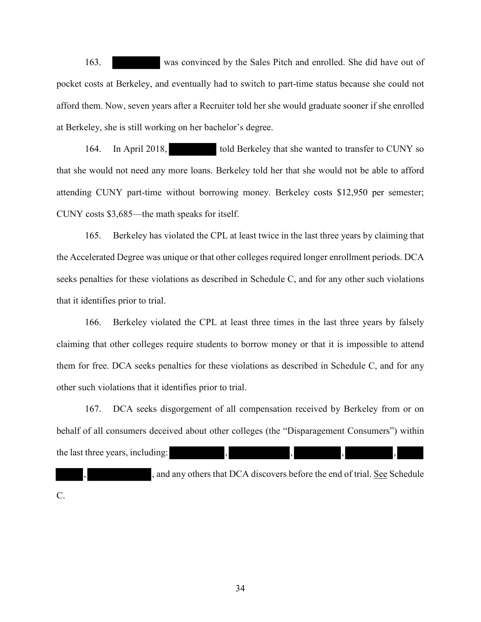163. was convinced by the Sales Pitch and enrolled. She did have out of pocket costs at Berkeley, and eventually had to switch to part-time status because she could not afford them. Now, seven years after a Recruiter told her she would graduate sooner if she enrolled at Berkeley, she is still working on her bachelor's degree.

164. In April 2018, told Berkeley that she wanted to transfer to CUNY so that she would not need any more loans. Berkeley told her that she would not be able to afford attending CUNY part-time without borrowing money. Berkeley costs \$12,950 per semester; CUNY costs \$3,685—the math speaks for itself.

165. Berkeley has violated the CPL at least twice in the last three years by claiming that the Accelerated Degree was unique or that other colleges required longer enrollment periods. DCA seeks penalties for these violations as described in Schedule C, and for any other such violations that it identifies prior to trial.

166. Berkeley violated the CPL at least three times in the last three years by falsely claiming that other colleges require students to borrow money or that it is impossible to attend them for free. DCA seeks penalties for these violations as described in Schedule C, and for any other such violations that it identifies prior to trial.

167. DCA seeks disgorgement of all compensation received by Berkeley from or on behalf of all consumers deceived about other colleges (the "Disparagement Consumers") within the last three years, including:

and any others that DCA discovers before the end of trial. See Schedule C.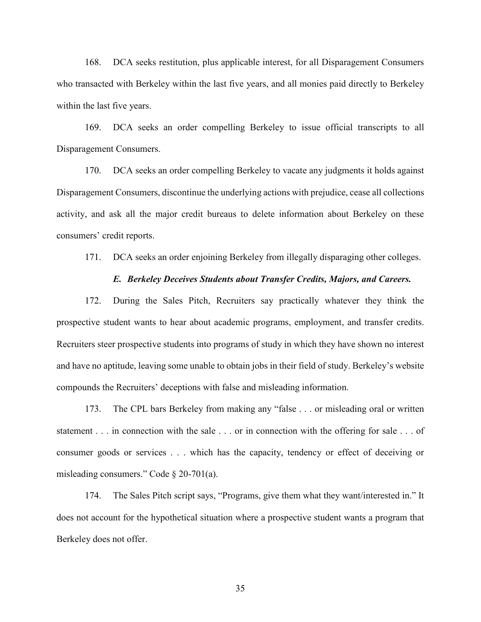168. DCA seeks restitution, plus applicable interest, for all Disparagement Consumers who transacted with Berkeley within the last five years, and all monies paid directly to Berkeley within the last five years.

169. DCA seeks an order compelling Berkeley to issue official transcripts to all Disparagement Consumers.

170. DCA seeks an order compelling Berkeley to vacate any judgments it holds against Disparagement Consumers, discontinue the underlying actions with prejudice, cease all collections activity, and ask all the major credit bureaus to delete information about Berkeley on these consumers' credit reports.

171. DCA seeks an order enjoining Berkeley from illegally disparaging other colleges.

#### *E. Berkeley Deceives Students about Transfer Credits, Majors, and Careers.*

172. During the Sales Pitch, Recruiters say practically whatever they think the prospective student wants to hear about academic programs, employment, and transfer credits. Recruiters steer prospective students into programs of study in which they have shown no interest and have no aptitude, leaving some unable to obtain jobs in their field of study. Berkeley's website compounds the Recruiters' deceptions with false and misleading information.

173. The CPL bars Berkeley from making any "false . . . or misleading oral or written statement . . . in connection with the sale . . . or in connection with the offering for sale . . . of consumer goods or services . . . which has the capacity, tendency or effect of deceiving or misleading consumers." Code § 20-701(a).

174. The Sales Pitch script says, "Programs, give them what they want/interested in." It does not account for the hypothetical situation where a prospective student wants a program that Berkeley does not offer.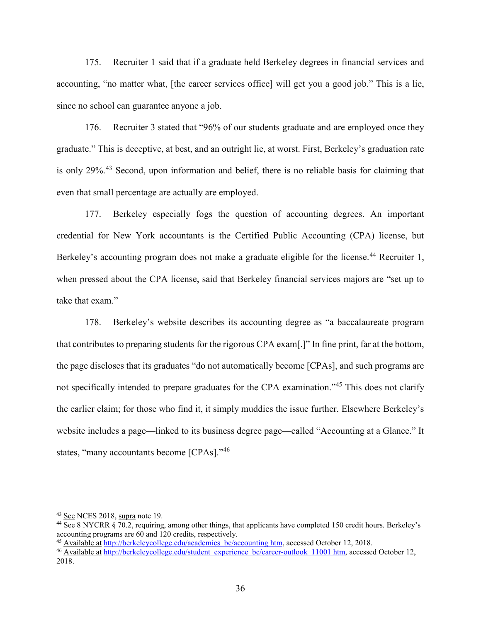175. Recruiter 1 said that if a graduate held Berkeley degrees in financial services and accounting, "no matter what, [the career services office] will get you a good job." This is a lie, since no school can guarantee anyone a job.

176. Recruiter 3 stated that "96% of our students graduate and are employed once they graduate." This is deceptive, at best, and an outright lie, at worst. First, Berkeley's graduation rate is only 29%.<sup>43</sup> Second, upon information and belief, there is no reliable basis for claiming that even that small percentage are actually are employed.

177. Berkeley especially fogs the question of accounting degrees. An important credential for New York accountants is the Certified Public Accounting (CPA) license, but Berkeley's accounting program does not make a graduate eligible for the license.<sup>44</sup> Recruiter 1, when pressed about the CPA license, said that Berkeley financial services majors are "set up to take that exam."

178. Berkeley's website describes its accounting degree as "a baccalaureate program that contributes to preparing students for the rigorous CPA exam[.]" In fine print, far at the bottom, the page discloses that its graduates "do not automatically become [CPAs], and such programs are not specifically intended to prepare graduates for the CPA examination."<sup>45</sup> This does not clarify the earlier claim; for those who find it, it simply muddies the issue further. Elsewhere Berkeley's website includes a page—linked to its business degree page—called "Accounting at a Glance." It states, "many accountants become [CPAs]."<sup>46</sup>

<sup>&</sup>lt;sup>43</sup> See NCES 2018, supra note 19.<br><sup>44</sup> See 8 NYCRR § 70.2, requiring, among other things, that applicants have completed 150 credit hours. Berkeley's accounting programs are 60 and 120 credits, respectively.

<sup>45</sup> Available at http://berkeleycollege.edu/academics bc/accounting htm, accessed October 12, 2018.

<sup>46</sup> Available at http://berkeleycollege.edu/student experience bc/career-outlook 11001 htm, accessed October 12, 2018.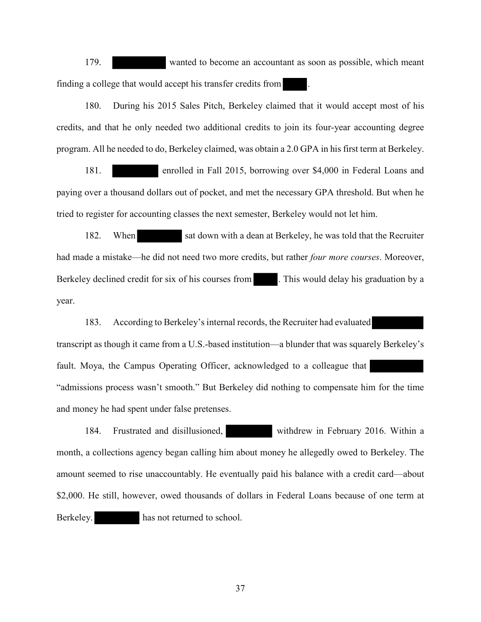179. wanted to become an accountant as soon as possible, which meant finding a college that would accept his transfer credits from .

180. During his 2015 Sales Pitch, Berkeley claimed that it would accept most of his credits, and that he only needed two additional credits to join its four-year accounting degree program. All he needed to do, Berkeley claimed, was obtain a 2.0 GPA in his first term at Berkeley.

181. enrolled in Fall 2015, borrowing over \$4,000 in Federal Loans and paying over a thousand dollars out of pocket, and met the necessary GPA threshold. But when he tried to register for accounting classes the next semester, Berkeley would not let him.

182. When sat down with a dean at Berkeley, he was told that the Recruiter had made a mistake—he did not need two more credits, but rather *four more courses*. Moreover, Berkeley declined credit for six of his courses from . This would delay his graduation by a year.

183. According to Berkeley's internal records, the Recruiter had evaluated transcript as though it came from a U.S.-based institution—a blunder that was squarely Berkeley's fault. Moya, the Campus Operating Officer, acknowledged to a colleague that "admissions process wasn't smooth." But Berkeley did nothing to compensate him for the time and money he had spent under false pretenses.

184. Frustrated and disillusioned, withdrew in February 2016. Within a month, a collections agency began calling him about money he allegedly owed to Berkeley. The amount seemed to rise unaccountably. He eventually paid his balance with a credit card—about \$2,000. He still, however, owed thousands of dollars in Federal Loans because of one term at Berkeley. has not returned to school.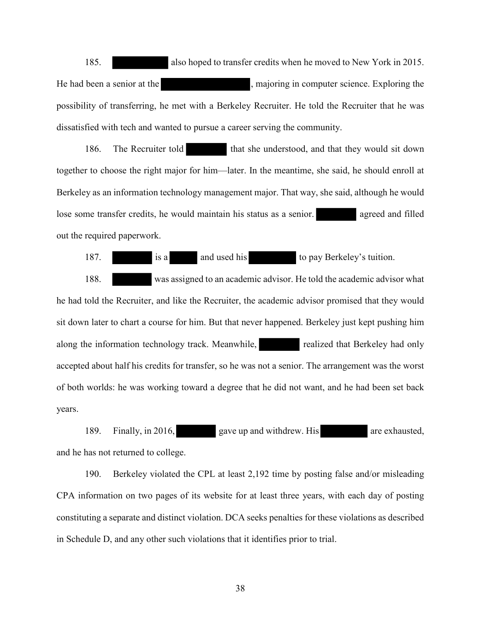185. also hoped to transfer credits when he moved to New York in 2015. He had been a senior at the state of the state in majoring in computer science. Exploring the possibility of transferring, he met with a Berkeley Recruiter. He told the Recruiter that he was dissatisfied with tech and wanted to pursue a career serving the community.

186. The Recruiter told that she understood, and that they would sit down together to choose the right major for him—later. In the meantime, she said, he should enroll at Berkeley as an information technology management major. That way, she said, although he would lose some transfer credits, he would maintain his status as a senior. a sample agreed and filled out the required paperwork.

187. is a and used his to pay Berkeley's tuition.

188. was assigned to an academic advisor. He told the academic advisor what he had told the Recruiter, and like the Recruiter, the academic advisor promised that they would sit down later to chart a course for him. But that never happened. Berkeley just kept pushing him along the information technology track. Meanwhile, realized that Berkeley had only accepted about half his credits for transfer, so he was not a senior. The arrangement was the worst of both worlds: he was working toward a degree that he did not want, and he had been set back years.

189. Finally, in 2016, gave up and withdrew. His are exhausted, and he has not returned to college.

190. Berkeley violated the CPL at least 2,192 time by posting false and/or misleading CPA information on two pages of its website for at least three years, with each day of posting constituting a separate and distinct violation. DCA seeks penalties for these violations as described in Schedule D, and any other such violations that it identifies prior to trial.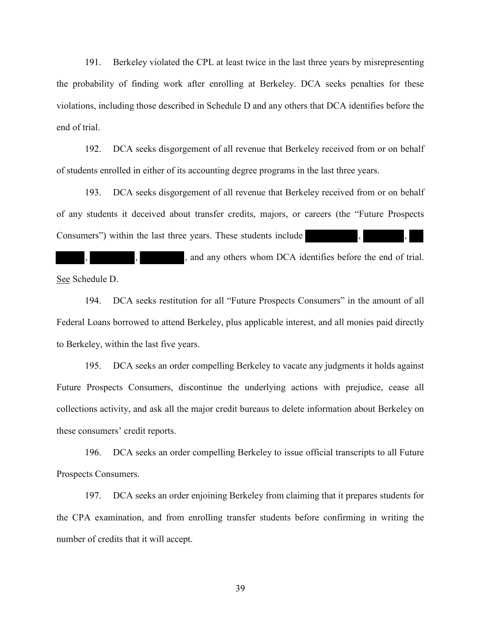191. Berkeley violated the CPL at least twice in the last three years by misrepresenting the probability of finding work after enrolling at Berkeley. DCA seeks penalties for these violations, including those described in Schedule D and any others that DCA identifies before the end of trial.

192. DCA seeks disgorgement of all revenue that Berkeley received from or on behalf of students enrolled in either of its accounting degree programs in the last three years.

193. DCA seeks disgorgement of all revenue that Berkeley received from or on behalf of any students it deceived about transfer credits, majors, or careers (the "Future Prospects Consumers") within the last three years. These students include

and any others whom DCA identifies before the end of trial. See Schedule D.

194. DCA seeks restitution for all "Future Prospects Consumers" in the amount of all Federal Loans borrowed to attend Berkeley, plus applicable interest, and all monies paid directly to Berkeley, within the last five years.

195. DCA seeks an order compelling Berkeley to vacate any judgments it holds against Future Prospects Consumers, discontinue the underlying actions with prejudice, cease all collections activity, and ask all the major credit bureaus to delete information about Berkeley on these consumers' credit reports.

196. DCA seeks an order compelling Berkeley to issue official transcripts to all Future Prospects Consumers.

197. DCA seeks an order enjoining Berkeley from claiming that it prepares students for the CPA examination, and from enrolling transfer students before confirming in writing the number of credits that it will accept.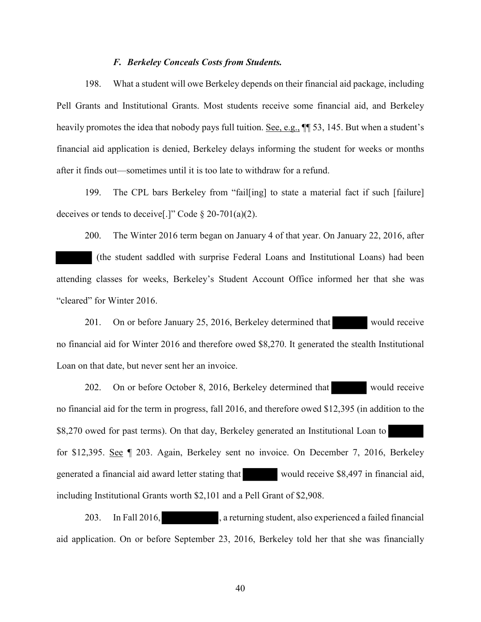#### *F. Berkeley Conceals Costs from Students.*

198. What a student will owe Berkeley depends on their financial aid package, including Pell Grants and Institutional Grants. Most students receive some financial aid, and Berkeley heavily promotes the idea that nobody pays full tuition. See, e.g.,  $\P$  53, 145. But when a student's financial aid application is denied, Berkeley delays informing the student for weeks or months after it finds out—sometimes until it is too late to withdraw for a refund.

199. The CPL bars Berkeley from "fail[ing] to state a material fact if such [failure] deceives or tends to deceive[.]" Code  $\S 20-701(a)(2)$ .

200. The Winter 2016 term began on January 4 of that year. On January 22, 2016, after (the student saddled with surprise Federal Loans and Institutional Loans) had been attending classes for weeks, Berkeley's Student Account Office informed her that she was "cleared" for Winter 2016.

201. On or before January 25, 2016, Berkeley determined that would receive no financial aid for Winter 2016 and therefore owed \$8,270. It generated the stealth Institutional Loan on that date, but never sent her an invoice.

202. On or before October 8, 2016, Berkeley determined that would receive no financial aid for the term in progress, fall 2016, and therefore owed \$12,395 (in addition to the \$8,270 owed for past terms). On that day, Berkeley generated an Institutional Loan to for \$12,395. See ¶ 203. Again, Berkeley sent no invoice. On December 7, 2016, Berkeley generated a financial aid award letter stating that would receive \$8,497 in financial aid, including Institutional Grants worth \$2,101 and a Pell Grant of \$2,908.

203. In Fall 2016, 2018, a returning student, also experienced a failed financial aid application. On or before September 23, 2016, Berkeley told her that she was financially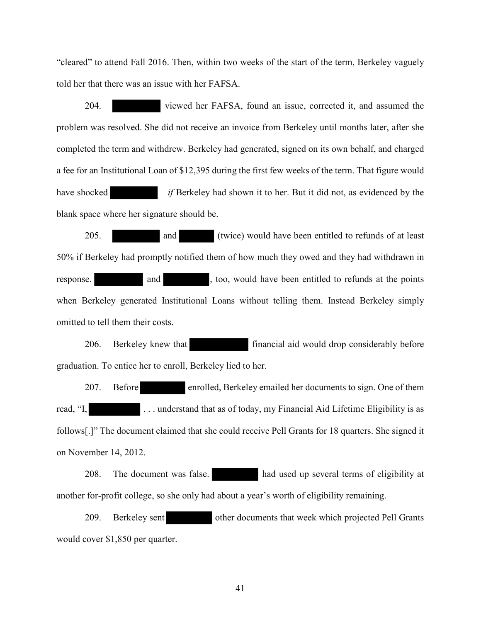"cleared" to attend Fall 2016. Then, within two weeks of the start of the term, Berkeley vaguely told her that there was an issue with her FAFSA.

204. viewed her FAFSA, found an issue, corrected it, and assumed the problem was resolved. She did not receive an invoice from Berkeley until months later, after she completed the term and withdrew. Berkeley had generated, signed on its own behalf, and charged a fee for an Institutional Loan of \$12,395 during the first few weeks of the term. That figure would have shocked  $-i f$  Berkeley had shown it to her. But it did not, as evidenced by the blank space where her signature should be.

205. and (twice) would have been entitled to refunds of at least 50% if Berkeley had promptly notified them of how much they owed and they had withdrawn in response. and and , too, would have been entitled to refunds at the points when Berkeley generated Institutional Loans without telling them. Instead Berkeley simply omitted to tell them their costs.

206. Berkeley knew that financial aid would drop considerably before graduation. To entice her to enroll, Berkeley lied to her.

207. Before enrolled, Berkeley emailed her documents to sign. One of them read, "I, The contract is contracted that as of today, my Financial Aid Lifetime Eligibility is as follows[.]" The document claimed that she could receive Pell Grants for 18 quarters. She signed it on November 14, 2012.

208. The document was false. had used up several terms of eligibility at another for-profit college, so she only had about a year's worth of eligibility remaining.

209. Berkeley sent other documents that week which projected Pell Grants would cover \$1,850 per quarter.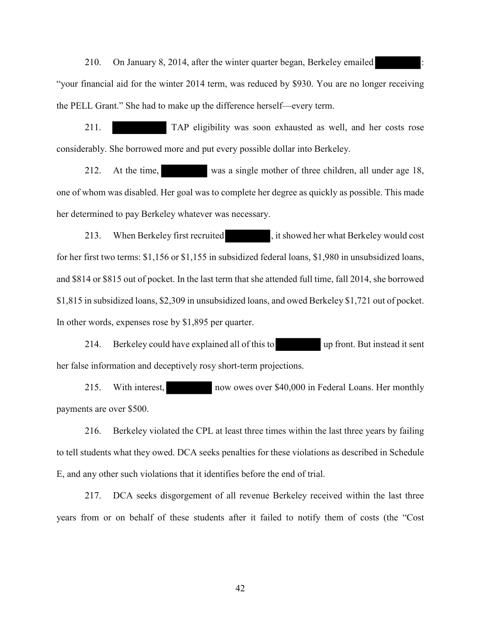210. On January 8, 2014, after the winter quarter began, Berkeley emailed "your financial aid for the winter 2014 term, was reduced by \$930. You are no longer receiving the PELL Grant." She had to make up the difference herself—every term.

211. TAP eligibility was soon exhausted as well, and her costs rose considerably. She borrowed more and put every possible dollar into Berkeley.

212. At the time, was a single mother of three children, all under age 18, one of whom was disabled. Her goal was to complete her degree as quickly as possible. This made her determined to pay Berkeley whatever was necessary.

213. When Berkeley first recruited , it showed her what Berkeley would cost for her first two terms: \$1,156 or \$1,155 in subsidized federal loans, \$1,980 in unsubsidized loans, and \$814 or \$815 out of pocket. In the last term that she attended full time, fall 2014, she borrowed \$1,815 in subsidized loans, \$2,309 in unsubsidized loans, and owed Berkeley \$1,721 out of pocket. In other words, expenses rose by \$1,895 per quarter.

214. Berkeley could have explained all of this to up front. But instead it sent her false information and deceptively rosy short-term projections.

215. With interest, now owes over \$40,000 in Federal Loans. Her monthly payments are over \$500.

216. Berkeley violated the CPL at least three times within the last three years by failing to tell students what they owed. DCA seeks penalties for these violations as described in Schedule E, and any other such violations that it identifies before the end of trial.

217. DCA seeks disgorgement of all revenue Berkeley received within the last three years from or on behalf of these students after it failed to notify them of costs (the "Cost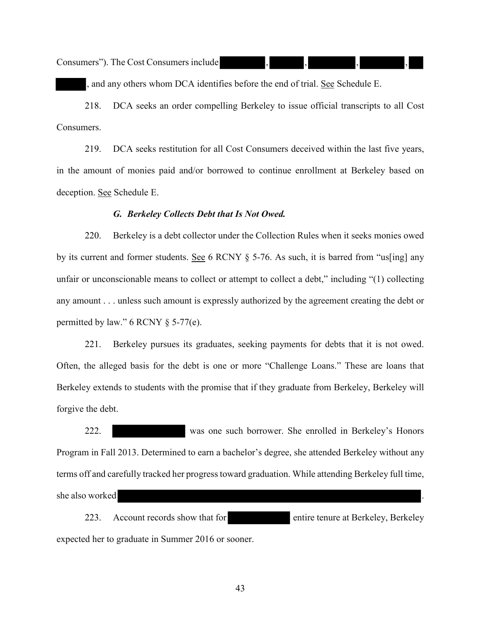Consumers"). The Cost Consumers include

, and any others whom DCA identifies before the end of trial. See Schedule E.

218. DCA seeks an order compelling Berkeley to issue official transcripts to all Cost Consumers.

219. DCA seeks restitution for all Cost Consumers deceived within the last five years, in the amount of monies paid and/or borrowed to continue enrollment at Berkeley based on deception. See Schedule E.

#### *G. Berkeley Collects Debt that Is Not Owed.*

220. Berkeley is a debt collector under the Collection Rules when it seeks monies owed by its current and former students. See 6 RCNY § 5-76. As such, it is barred from "us[ing] any unfair or unconscionable means to collect or attempt to collect a debt," including "(1) collecting any amount . . . unless such amount is expressly authorized by the agreement creating the debt or permitted by law."  $6$  RCNY  $§$  5-77(e).

221. Berkeley pursues its graduates, seeking payments for debts that it is not owed. Often, the alleged basis for the debt is one or more "Challenge Loans." These are loans that Berkeley extends to students with the promise that if they graduate from Berkeley, Berkeley will forgive the debt.

222. was one such borrower. She enrolled in Berkeley's Honors Program in Fall 2013. Determined to earn a bachelor's degree, she attended Berkeley without any terms off and carefully tracked her progress toward graduation. While attending Berkeley full time, she also worked

223. Account records show that for entire tenure at Berkeley, Berkeley expected her to graduate in Summer 2016 or sooner.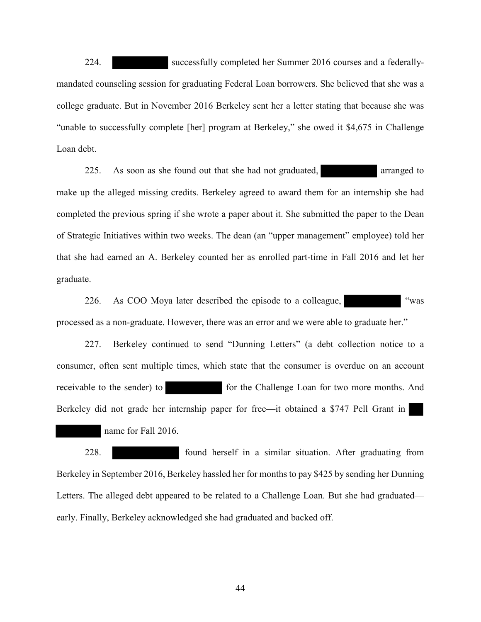224. successfully completed her Summer 2016 courses and a federallymandated counseling session for graduating Federal Loan borrowers. She believed that she was a college graduate. But in November 2016 Berkeley sent her a letter stating that because she was "unable to successfully complete [her] program at Berkeley," she owed it \$4,675 in Challenge Loan debt.

225. As soon as she found out that she had not graduated, arranged to make up the alleged missing credits. Berkeley agreed to award them for an internship she had completed the previous spring if she wrote a paper about it. She submitted the paper to the Dean of Strategic Initiatives within two weeks. The dean (an "upper management" employee) told her that she had earned an A. Berkeley counted her as enrolled part-time in Fall 2016 and let her graduate.

226. As COO Moya later described the episode to a colleague, "was processed as a non-graduate. However, there was an error and we were able to graduate her."

227. Berkeley continued to send "Dunning Letters" (a debt collection notice to a consumer, often sent multiple times, which state that the consumer is overdue on an account receivable to the sender) to for the Challenge Loan for two more months. And Berkeley did not grade her internship paper for free—it obtained a \$747 Pell Grant in name for Fall 2016.

228. found herself in a similar situation. After graduating from Berkeley in September 2016, Berkeley hassled her for months to pay \$425 by sending her Dunning Letters. The alleged debt appeared to be related to a Challenge Loan. But she had graduated early. Finally, Berkeley acknowledged she had graduated and backed off.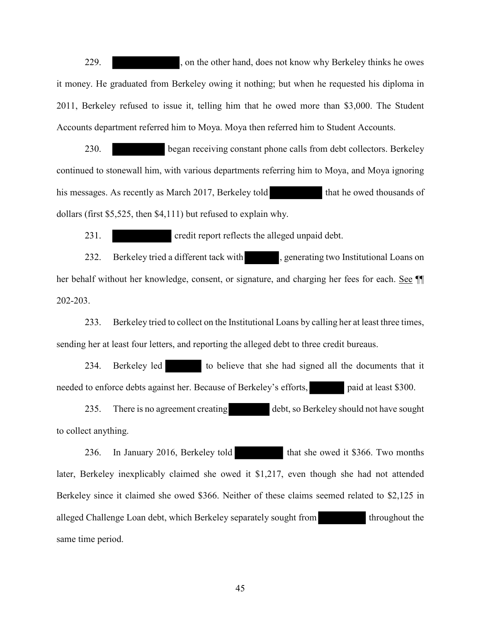229. , on the other hand, does not know why Berkeley thinks he owes it money. He graduated from Berkeley owing it nothing; but when he requested his diploma in 2011, Berkeley refused to issue it, telling him that he owed more than \$3,000. The Student Accounts department referred him to Moya. Moya then referred him to Student Accounts.

230. began receiving constant phone calls from debt collectors. Berkeley continued to stonewall him, with various departments referring him to Moya, and Moya ignoring his messages. As recently as March 2017, Berkeley told that he owed thousands of dollars (first \$5,525, then \$4,111) but refused to explain why.

231. credit report reflects the alleged unpaid debt.

232. Berkeley tried a different tack with , generating two Institutional Loans on her behalf without her knowledge, consent, or signature, and charging her fees for each. See  $\P$ 202-203.

233. Berkeley tried to collect on the Institutional Loans by calling her at least three times, sending her at least four letters, and reporting the alleged debt to three credit bureaus.

234. Berkeley led to believe that she had signed all the documents that it needed to enforce debts against her. Because of Berkeley's efforts, paid at least \$300.

235. There is no agreement creating debt, so Berkeley should not have sought to collect anything.

236. In January 2016, Berkeley told that she owed it \$366. Two months later, Berkeley inexplicably claimed she owed it \$1,217, even though she had not attended Berkeley since it claimed she owed \$366. Neither of these claims seemed related to \$2,125 in alleged Challenge Loan debt, which Berkeley separately sought from throughout the same time period.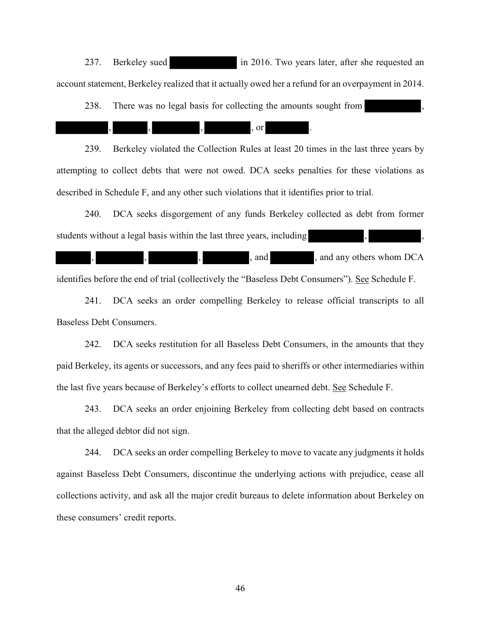237. Berkeley sued in 2016. Two years later, after she requested an account statement, Berkeley realized that it actually owed her a refund for an overpayment in 2014.

238. There was no legal basis for collecting the amounts sought from

, , , , or .

239. Berkeley violated the Collection Rules at least 20 times in the last three years by attempting to collect debts that were not owed. DCA seeks penalties for these violations as described in Schedule F, and any other such violations that it identifies prior to trial.

240. DCA seeks disgorgement of any funds Berkeley collected as debt from former students without a legal basis within the last three years, including

, and any others whom DCA

identifies before the end of trial (collectively the "Baseless Debt Consumers"). See Schedule F.

241. DCA seeks an order compelling Berkeley to release official transcripts to all Baseless Debt Consumers.

242. DCA seeks restitution for all Baseless Debt Consumers, in the amounts that they paid Berkeley, its agents or successors, and any fees paid to sheriffs or other intermediaries within the last five years because of Berkeley's efforts to collect unearned debt. See Schedule F.

243. DCA seeks an order enjoining Berkeley from collecting debt based on contracts that the alleged debtor did not sign.

244. DCA seeks an order compelling Berkeley to move to vacate any judgments it holds against Baseless Debt Consumers, discontinue the underlying actions with prejudice, cease all collections activity, and ask all the major credit bureaus to delete information about Berkeley on these consumers' credit reports.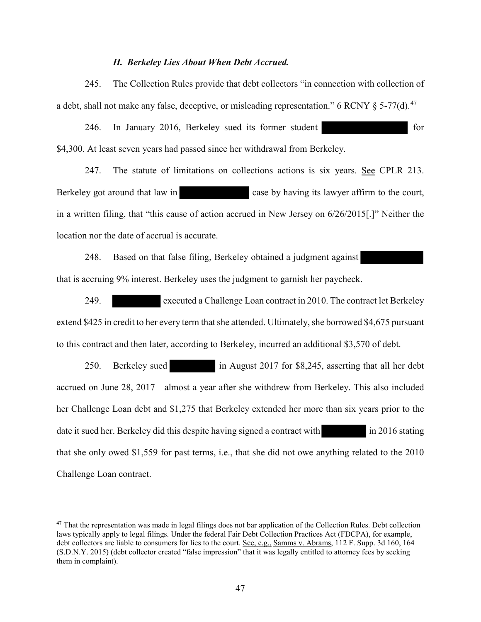#### *H. Berkeley Lies About When Debt Accrued.*

245. The Collection Rules provide that debt collectors "in connection with collection of a debt, shall not make any false, deceptive, or misleading representation." 6 RCNY  $\delta$  5-77(d).<sup>47</sup>

246. In January 2016, Berkeley sued its former student for for \$4,300. At least seven years had passed since her withdrawal from Berkeley.

247. The statute of limitations on collections actions is six years. See CPLR 213. Berkeley got around that law in case by having its lawyer affirm to the court, in a written filing, that "this cause of action accrued in New Jersey on 6/26/2015[.]" Neither the location nor the date of accrual is accurate.

248. Based on that false filing, Berkeley obtained a judgment against that is accruing 9% interest. Berkeley uses the judgment to garnish her paycheck.

249. executed a Challenge Loan contract in 2010. The contract let Berkeley extend \$425 in credit to her every term that she attended. Ultimately, she borrowed \$4,675 pursuant to this contract and then later, according to Berkeley, incurred an additional \$3,570 of debt.

250. Berkeley sued in August 2017 for \$8,245, asserting that all her debt accrued on June 28, 2017—almost a year after she withdrew from Berkeley. This also included her Challenge Loan debt and \$1,275 that Berkeley extended her more than six years prior to the date it sued her. Berkeley did this despite having signed a contract with in 2016 stating that she only owed \$1,559 for past terms, i.e., that she did not owe anything related to the 2010 Challenge Loan contract.

<sup>&</sup>lt;sup>47</sup> That the representation was made in legal filings does not bar application of the Collection Rules. Debt collection laws typically apply to legal filings. Under the federal Fair Debt Collection Practices Act (FDCPA), for example, debt collectors are liable to consumers for lies to the court. See, e.g., Samms v. Abrams, 112 F. Supp. 3d 160, 164 (S.D.N.Y. 2015) (debt collector created "false impression" that it was legally entitled to attorney fees by seeking them in complaint).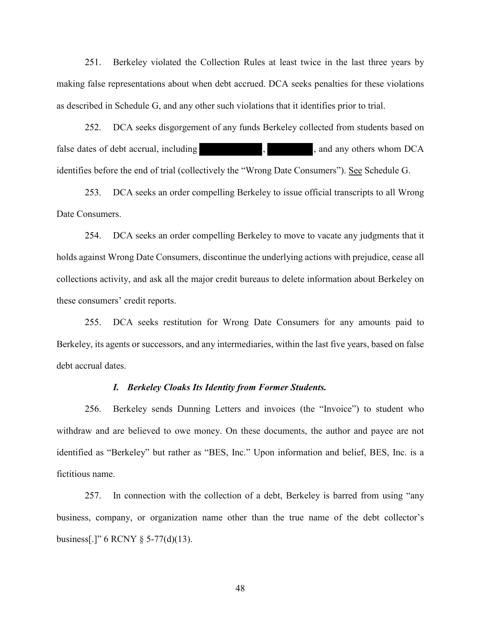251. Berkeley violated the Collection Rules at least twice in the last three years by making false representations about when debt accrued. DCA seeks penalties for these violations as described in Schedule G, and any other such violations that it identifies prior to trial.

252. DCA seeks disgorgement of any funds Berkeley collected from students based on false dates of debt accrual, including  $\blacksquare$ , and any others whom DCA identifies before the end of trial (collectively the "Wrong Date Consumers"). See Schedule G.

253. DCA seeks an order compelling Berkeley to issue official transcripts to all Wrong Date Consumers.

254. DCA seeks an order compelling Berkeley to move to vacate any judgments that it holds against Wrong Date Consumers, discontinue the underlying actions with prejudice, cease all collections activity, and ask all the major credit bureaus to delete information about Berkeley on these consumers' credit reports.

255. DCA seeks restitution for Wrong Date Consumers for any amounts paid to Berkeley, its agents or successors, and any intermediaries, within the last five years, based on false debt accrual dates.

#### *I. Berkeley Cloaks Its Identity from Former Students.*

256. Berkeley sends Dunning Letters and invoices (the "Invoice") to student who withdraw and are believed to owe money. On these documents, the author and payee are not identified as "Berkeley" but rather as "BES, Inc." Upon information and belief, BES, Inc. is a fictitious name.

257. In connection with the collection of a debt, Berkeley is barred from using "any business, company, or organization name other than the true name of the debt collector's business[.]" 6 RCNY § 5-77(d)(13).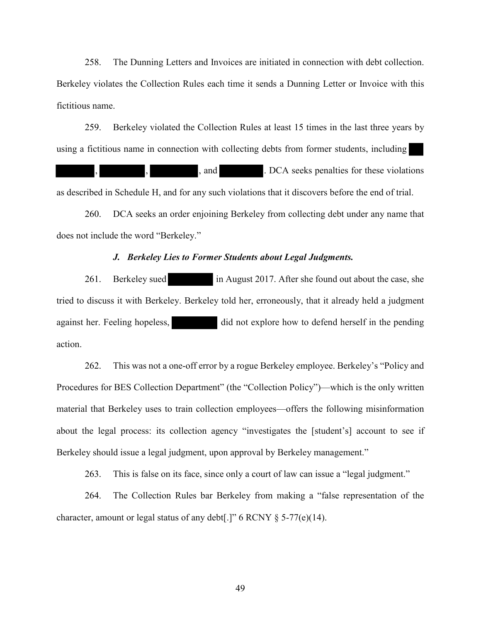258. The Dunning Letters and Invoices are initiated in connection with debt collection. Berkeley violates the Collection Rules each time it sends a Dunning Letter or Invoice with this fictitious name.

259. Berkeley violated the Collection Rules at least 15 times in the last three years by using a fictitious name in connection with collecting debts from former students, including , and . DCA seeks penalties for these violations as described in Schedule H, and for any such violations that it discovers before the end of trial.

260. DCA seeks an order enjoining Berkeley from collecting debt under any name that does not include the word "Berkeley."

#### *J. Berkeley Lies to Former Students about Legal Judgments.*

261. Berkeley sued in August 2017. After she found out about the case, she tried to discuss it with Berkeley. Berkeley told her, erroneously, that it already held a judgment against her. Feeling hopeless, did not explore how to defend herself in the pending action.

262. This was not a one-off error by a rogue Berkeley employee. Berkeley's "Policy and Procedures for BES Collection Department" (the "Collection Policy")—which is the only written material that Berkeley uses to train collection employees—offers the following misinformation about the legal process: its collection agency "investigates the [student's] account to see if Berkeley should issue a legal judgment, upon approval by Berkeley management."

263. This is false on its face, since only a court of law can issue a "legal judgment."

264. The Collection Rules bar Berkeley from making a "false representation of the character, amount or legal status of any debt[.]" 6 RCNY § 5-77(e)(14).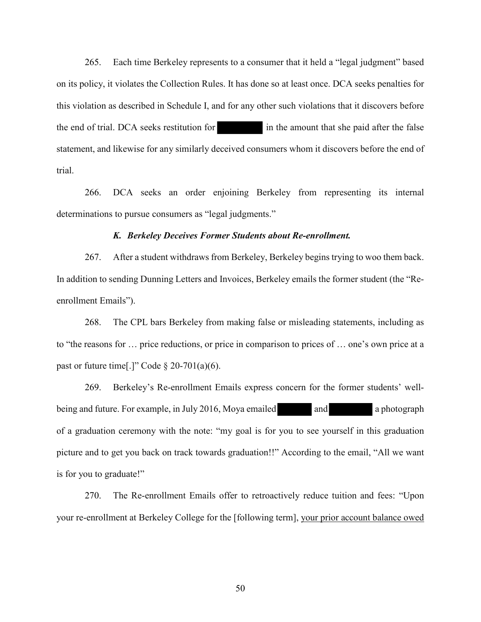265. Each time Berkeley represents to a consumer that it held a "legal judgment" based on its policy, it violates the Collection Rules. It has done so at least once. DCA seeks penalties for this violation as described in Schedule I, and for any other such violations that it discovers before the end of trial. DCA seeks restitution for in the amount that she paid after the false statement, and likewise for any similarly deceived consumers whom it discovers before the end of trial.

266. DCA seeks an order enjoining Berkeley from representing its internal determinations to pursue consumers as "legal judgments."

#### *K. Berkeley Deceives Former Students about Re-enrollment.*

267. After a student withdraws from Berkeley, Berkeley begins trying to woo them back. In addition to sending Dunning Letters and Invoices, Berkeley emails the former student (the "Reenrollment Emails").

268. The CPL bars Berkeley from making false or misleading statements, including as to "the reasons for … price reductions, or price in comparison to prices of … one's own price at a past or future time[.]" Code  $\S 20-701(a)(6)$ .

269. Berkeley's Re-enrollment Emails express concern for the former students' wellbeing and future. For example, in July 2016, Moya emailed and and a photograph of a graduation ceremony with the note: "my goal is for you to see yourself in this graduation picture and to get you back on track towards graduation!!" According to the email, "All we want is for you to graduate!"

270. The Re-enrollment Emails offer to retroactively reduce tuition and fees: "Upon your re-enrollment at Berkeley College for the [following term], your prior account balance owed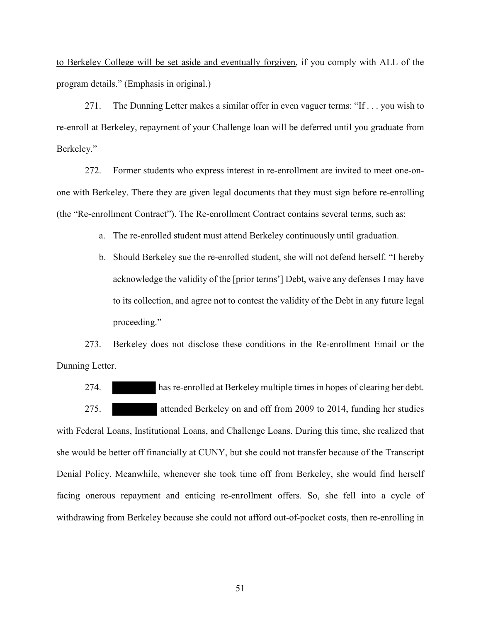to Berkeley College will be set aside and eventually forgiven, if you comply with ALL of the program details." (Emphasis in original.)

271. The Dunning Letter makes a similar offer in even vaguer terms: "If . . . you wish to re-enroll at Berkeley, repayment of your Challenge loan will be deferred until you graduate from Berkeley."

272. Former students who express interest in re-enrollment are invited to meet one-onone with Berkeley. There they are given legal documents that they must sign before re-enrolling (the "Re-enrollment Contract"). The Re-enrollment Contract contains several terms, such as:

a. The re-enrolled student must attend Berkeley continuously until graduation.

b. Should Berkeley sue the re-enrolled student, she will not defend herself. "I hereby acknowledge the validity of the [prior terms'] Debt, waive any defenses I may have to its collection, and agree not to contest the validity of the Debt in any future legal proceeding."

273. Berkeley does not disclose these conditions in the Re-enrollment Email or the Dunning Letter.

274. has re-enrolled at Berkeley multiple times in hopes of clearing her debt. 275. attended Berkeley on and off from 2009 to 2014, funding her studies with Federal Loans, Institutional Loans, and Challenge Loans. During this time, she realized that she would be better off financially at CUNY, but she could not transfer because of the Transcript Denial Policy. Meanwhile, whenever she took time off from Berkeley, she would find herself facing onerous repayment and enticing re-enrollment offers. So, she fell into a cycle of withdrawing from Berkeley because she could not afford out-of-pocket costs, then re-enrolling in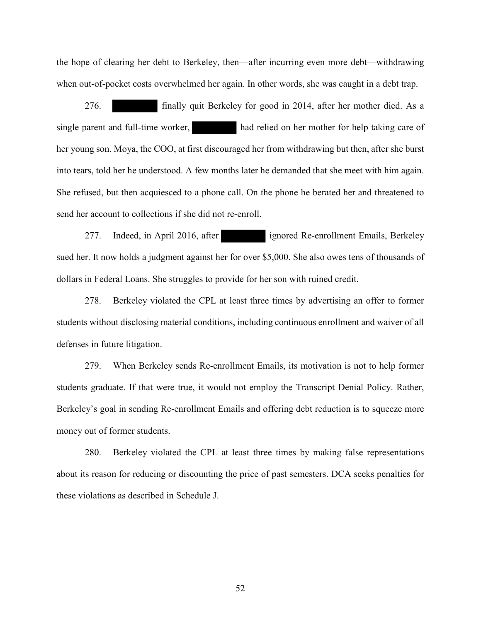the hope of clearing her debt to Berkeley, then—after incurring even more debt—withdrawing when out-of-pocket costs overwhelmed her again. In other words, she was caught in a debt trap.

276. finally quit Berkeley for good in 2014, after her mother died. As a single parent and full-time worker, had relied on her mother for help taking care of her young son. Moya, the COO, at first discouraged her from withdrawing but then, after she burst into tears, told her he understood. A few months later he demanded that she meet with him again. She refused, but then acquiesced to a phone call. On the phone he berated her and threatened to send her account to collections if she did not re-enroll.

277. Indeed, in April 2016, after ignored Re-enrollment Emails, Berkeley sued her. It now holds a judgment against her for over \$5,000. She also owes tens of thousands of dollars in Federal Loans. She struggles to provide for her son with ruined credit.

278. Berkeley violated the CPL at least three times by advertising an offer to former students without disclosing material conditions, including continuous enrollment and waiver of all defenses in future litigation.

279. When Berkeley sends Re-enrollment Emails, its motivation is not to help former students graduate. If that were true, it would not employ the Transcript Denial Policy. Rather, Berkeley's goal in sending Re-enrollment Emails and offering debt reduction is to squeeze more money out of former students.

280. Berkeley violated the CPL at least three times by making false representations about its reason for reducing or discounting the price of past semesters. DCA seeks penalties for these violations as described in Schedule J.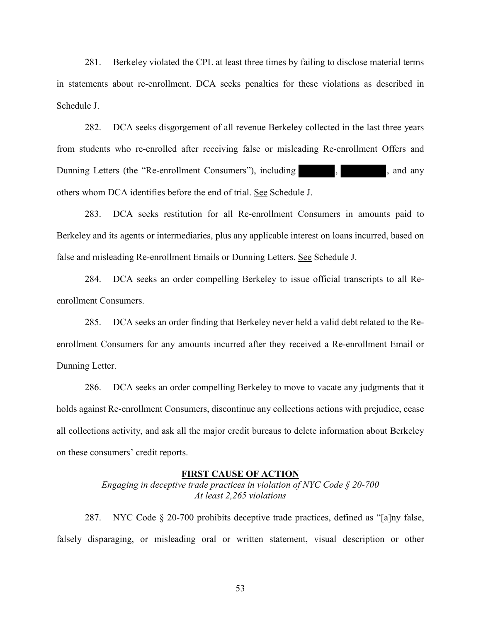281. Berkeley violated the CPL at least three times by failing to disclose material terms in statements about re-enrollment. DCA seeks penalties for these violations as described in Schedule J.

282. DCA seeks disgorgement of all revenue Berkeley collected in the last three years from students who re-enrolled after receiving false or misleading Re-enrollment Offers and Dunning Letters (the "Re-enrollment Consumers"), including , , , , and any others whom DCA identifies before the end of trial. See Schedule J.

283. DCA seeks restitution for all Re-enrollment Consumers in amounts paid to Berkeley and its agents or intermediaries, plus any applicable interest on loans incurred, based on false and misleading Re-enrollment Emails or Dunning Letters. See Schedule J.

284. DCA seeks an order compelling Berkeley to issue official transcripts to all Reenrollment Consumers.

285. DCA seeks an order finding that Berkeley never held a valid debt related to the Reenrollment Consumers for any amounts incurred after they received a Re-enrollment Email or Dunning Letter.

286. DCA seeks an order compelling Berkeley to move to vacate any judgments that it holds against Re-enrollment Consumers, discontinue any collections actions with prejudice, cease all collections activity, and ask all the major credit bureaus to delete information about Berkeley on these consumers' credit reports.

#### **FIRST CAUSE OF ACTION**

*Engaging in deceptive trade practices in violation of NYC Code § 20-700 At least 2,265 violations* 

287. NYC Code § 20-700 prohibits deceptive trade practices, defined as "[a]ny false, falsely disparaging, or misleading oral or written statement, visual description or other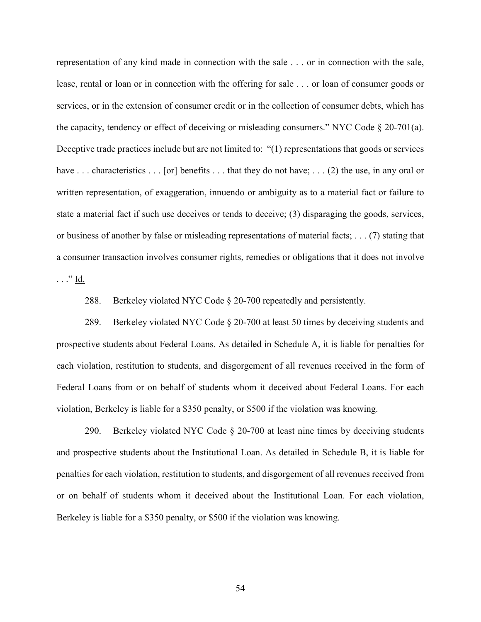representation of any kind made in connection with the sale . . . or in connection with the sale, lease, rental or loan or in connection with the offering for sale . . . or loan of consumer goods or services, or in the extension of consumer credit or in the collection of consumer debts, which has the capacity, tendency or effect of deceiving or misleading consumers." NYC Code § 20-701(a). Deceptive trade practices include but are not limited to: "(1) representations that goods or services have ... characteristics ... [or] benefits ... that they do not have; ... (2) the use, in any oral or written representation, of exaggeration, innuendo or ambiguity as to a material fact or failure to state a material fact if such use deceives or tends to deceive; (3) disparaging the goods, services, or business of another by false or misleading representations of material facts; . . . (7) stating that a consumer transaction involves consumer rights, remedies or obligations that it does not involve  $\ldots$ " <u>Id.</u>

288. Berkeley violated NYC Code § 20-700 repeatedly and persistently.

289. Berkeley violated NYC Code § 20-700 at least 50 times by deceiving students and prospective students about Federal Loans. As detailed in Schedule A, it is liable for penalties for each violation, restitution to students, and disgorgement of all revenues received in the form of Federal Loans from or on behalf of students whom it deceived about Federal Loans. For each violation, Berkeley is liable for a \$350 penalty, or \$500 if the violation was knowing.

290. Berkeley violated NYC Code § 20-700 at least nine times by deceiving students and prospective students about the Institutional Loan. As detailed in Schedule B, it is liable for penalties for each violation, restitution to students, and disgorgement of all revenues received from or on behalf of students whom it deceived about the Institutional Loan. For each violation, Berkeley is liable for a \$350 penalty, or \$500 if the violation was knowing.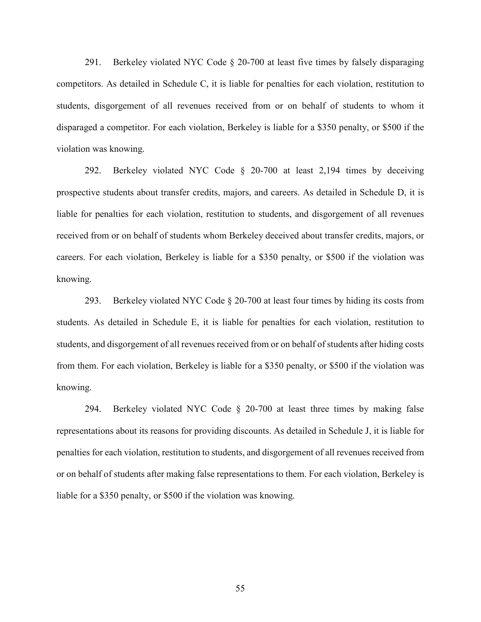291. Berkeley violated NYC Code § 20-700 at least five times by falsely disparaging competitors. As detailed in Schedule C, it is liable for penalties for each violation, restitution to students, disgorgement of all revenues received from or on behalf of students to whom it disparaged a competitor. For each violation, Berkeley is liable for a \$350 penalty, or \$500 if the violation was knowing.

292. Berkeley violated NYC Code § 20-700 at least 2,194 times by deceiving prospective students about transfer credits, majors, and careers. As detailed in Schedule D, it is liable for penalties for each violation, restitution to students, and disgorgement of all revenues received from or on behalf of students whom Berkeley deceived about transfer credits, majors, or careers. For each violation, Berkeley is liable for a \$350 penalty, or \$500 if the violation was knowing.

293. Berkeley violated NYC Code § 20-700 at least four times by hiding its costs from students. As detailed in Schedule E, it is liable for penalties for each violation, restitution to students, and disgorgement of all revenues received from or on behalf of students after hiding costs from them. For each violation, Berkeley is liable for a \$350 penalty, or \$500 if the violation was knowing.

294. Berkeley violated NYC Code § 20-700 at least three times by making false representations about its reasons for providing discounts. As detailed in Schedule J, it is liable for penalties for each violation, restitution to students, and disgorgement of all revenues received from or on behalf of students after making false representations to them. For each violation, Berkeley is liable for a \$350 penalty, or \$500 if the violation was knowing.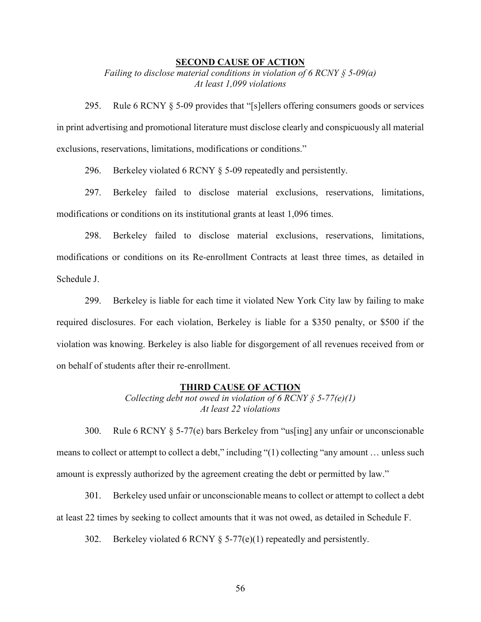#### **SECOND CAUSE OF ACTION**

*Failing to disclose material conditions in violation of 6 RCNY § 5-09(a) At least 1,099 violations* 

295. Rule 6 RCNY § 5-09 provides that "[s]ellers offering consumers goods or services in print advertising and promotional literature must disclose clearly and conspicuously all material exclusions, reservations, limitations, modifications or conditions."

296. Berkeley violated 6 RCNY § 5-09 repeatedly and persistently.

297. Berkeley failed to disclose material exclusions, reservations, limitations, modifications or conditions on its institutional grants at least 1,096 times.

298. Berkeley failed to disclose material exclusions, reservations, limitations, modifications or conditions on its Re-enrollment Contracts at least three times, as detailed in Schedule J.

299. Berkeley is liable for each time it violated New York City law by failing to make required disclosures. For each violation, Berkeley is liable for a \$350 penalty, or \$500 if the violation was knowing. Berkeley is also liable for disgorgement of all revenues received from or on behalf of students after their re-enrollment.

#### **THIRD CAUSE OF ACTION**

*Collecting debt not owed in violation of 6 RCNY § 5-77(e)(1) At least 22 violations* 

300. Rule 6 RCNY § 5-77(e) bars Berkeley from "us[ing] any unfair or unconscionable means to collect or attempt to collect a debt," including "(1) collecting "any amount … unless such amount is expressly authorized by the agreement creating the debt or permitted by law."

301. Berkeley used unfair or unconscionable means to collect or attempt to collect a debt at least 22 times by seeking to collect amounts that it was not owed, as detailed in Schedule F.

302. Berkeley violated 6 RCNY § 5-77(e)(1) repeatedly and persistently.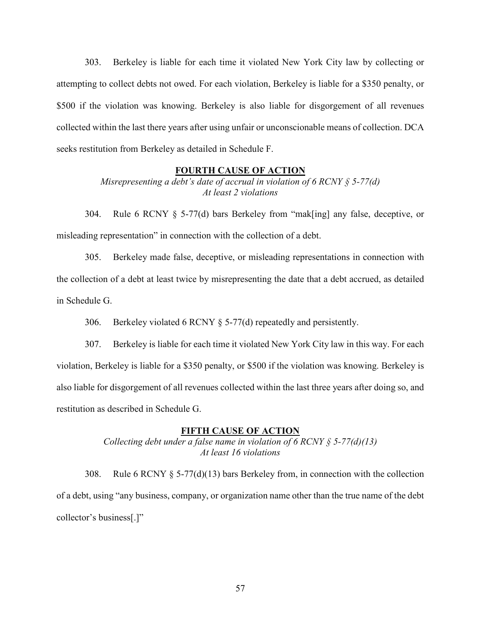303. Berkeley is liable for each time it violated New York City law by collecting or attempting to collect debts not owed. For each violation, Berkeley is liable for a \$350 penalty, or \$500 if the violation was knowing. Berkeley is also liable for disgorgement of all revenues collected within the last there years after using unfair or unconscionable means of collection. DCA seeks restitution from Berkeley as detailed in Schedule F.

#### **FOURTH CAUSE OF ACTION**

*Misrepresenting a debt's date of accrual in violation of 6 RCNY § 5-77(d) At least 2 violations* 

304. Rule 6 RCNY § 5-77(d) bars Berkeley from "mak[ing] any false, deceptive, or misleading representation" in connection with the collection of a debt.

305. Berkeley made false, deceptive, or misleading representations in connection with the collection of a debt at least twice by misrepresenting the date that a debt accrued, as detailed in Schedule G.

306. Berkeley violated 6 RCNY § 5-77(d) repeatedly and persistently.

307. Berkeley is liable for each time it violated New York City law in this way. For each violation, Berkeley is liable for a \$350 penalty, or \$500 if the violation was knowing. Berkeley is also liable for disgorgement of all revenues collected within the last three years after doing so, and restitution as described in Schedule G.

#### **FIFTH CAUSE OF ACTION**

*Collecting debt under a false name in violation of 6 RCNY § 5-77(d)(13) At least 16 violations* 

308. Rule 6 RCNY § 5-77(d)(13) bars Berkeley from, in connection with the collection of a debt, using "any business, company, or organization name other than the true name of the debt collector's business[.]"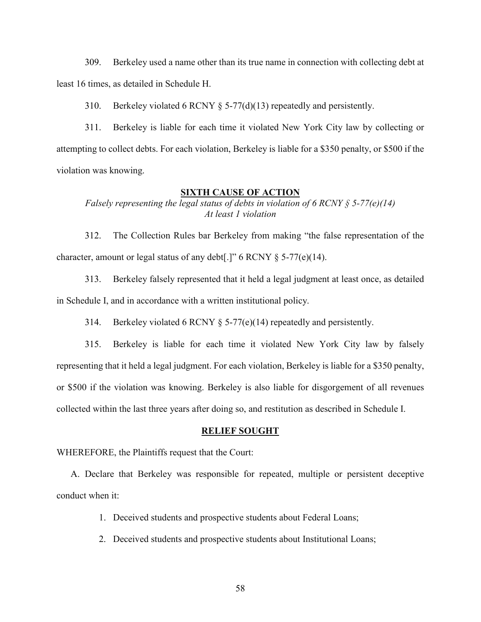309. Berkeley used a name other than its true name in connection with collecting debt at least 16 times, as detailed in Schedule H.

310. Berkeley violated 6 RCNY § 5-77(d)(13) repeatedly and persistently.

311. Berkeley is liable for each time it violated New York City law by collecting or attempting to collect debts. For each violation, Berkeley is liable for a \$350 penalty, or \$500 if the violation was knowing.

#### **SIXTH CAUSE OF ACTION**

*Falsely representing the legal status of debts in violation of 6 RCNY § 5-77(e)(14) At least 1 violation*

312. The Collection Rules bar Berkeley from making "the false representation of the character, amount or legal status of any debt[.]" 6 RCNY § 5-77(e)(14).

313. Berkeley falsely represented that it held a legal judgment at least once, as detailed in Schedule I, and in accordance with a written institutional policy.

314. Berkeley violated 6 RCNY § 5-77(e)(14) repeatedly and persistently.

315. Berkeley is liable for each time it violated New York City law by falsely representing that it held a legal judgment. For each violation, Berkeley is liable for a \$350 penalty, or \$500 if the violation was knowing. Berkeley is also liable for disgorgement of all revenues collected within the last three years after doing so, and restitution as described in Schedule I.

#### **RELIEF SOUGHT**

WHEREFORE, the Plaintiffs request that the Court:

A. Declare that Berkeley was responsible for repeated, multiple or persistent deceptive conduct when it:

- 1. Deceived students and prospective students about Federal Loans;
- 2. Deceived students and prospective students about Institutional Loans;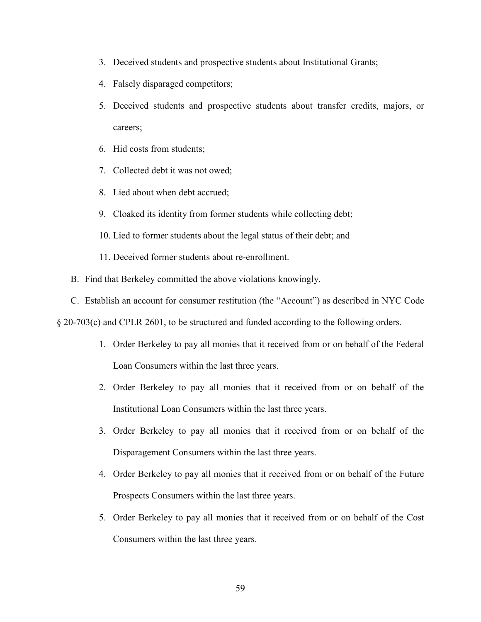- 3. Deceived students and prospective students about Institutional Grants;
- 4. Falsely disparaged competitors;
- 5. Deceived students and prospective students about transfer credits, majors, or careers;
- 6. Hid costs from students;
- 7. Collected debt it was not owed;
- 8. Lied about when debt accrued;
- 9. Cloaked its identity from former students while collecting debt;
- 10. Lied to former students about the legal status of their debt; and
- 11. Deceived former students about re-enrollment.
- B. Find that Berkeley committed the above violations knowingly.
- C. Establish an account for consumer restitution (the "Account") as described in NYC Code

§ 20-703(c) and CPLR 2601, to be structured and funded according to the following orders.

- 1. Order Berkeley to pay all monies that it received from or on behalf of the Federal Loan Consumers within the last three years.
- 2. Order Berkeley to pay all monies that it received from or on behalf of the Institutional Loan Consumers within the last three years.
- 3. Order Berkeley to pay all monies that it received from or on behalf of the Disparagement Consumers within the last three years.
- 4. Order Berkeley to pay all monies that it received from or on behalf of the Future Prospects Consumers within the last three years.
- 5. Order Berkeley to pay all monies that it received from or on behalf of the Cost Consumers within the last three years.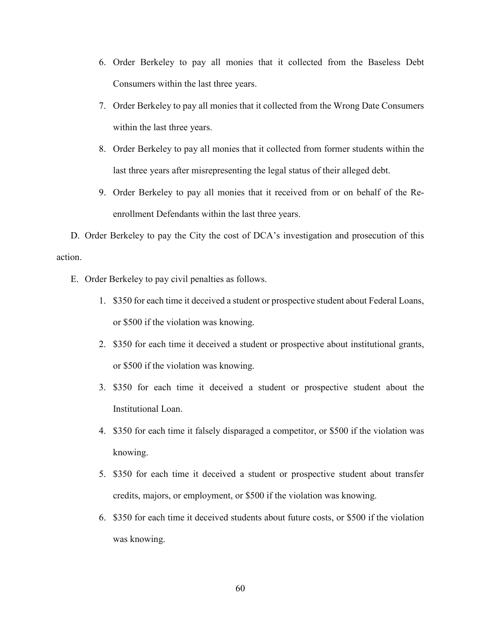- 6. Order Berkeley to pay all monies that it collected from the Baseless Debt Consumers within the last three years.
- 7. Order Berkeley to pay all monies that it collected from the Wrong Date Consumers within the last three years.
- 8. Order Berkeley to pay all monies that it collected from former students within the last three years after misrepresenting the legal status of their alleged debt.
- 9. Order Berkeley to pay all monies that it received from or on behalf of the Reenrollment Defendants within the last three years.

D. Order Berkeley to pay the City the cost of DCA's investigation and prosecution of this action.

- E. Order Berkeley to pay civil penalties as follows.
	- 1. \$350 for each time it deceived a student or prospective student about Federal Loans, or \$500 if the violation was knowing.
	- 2. \$350 for each time it deceived a student or prospective about institutional grants, or \$500 if the violation was knowing.
	- 3. \$350 for each time it deceived a student or prospective student about the Institutional Loan.
	- 4. \$350 for each time it falsely disparaged a competitor, or \$500 if the violation was knowing.
	- 5. \$350 for each time it deceived a student or prospective student about transfer credits, majors, or employment, or \$500 if the violation was knowing.
	- 6. \$350 for each time it deceived students about future costs, or \$500 if the violation was knowing.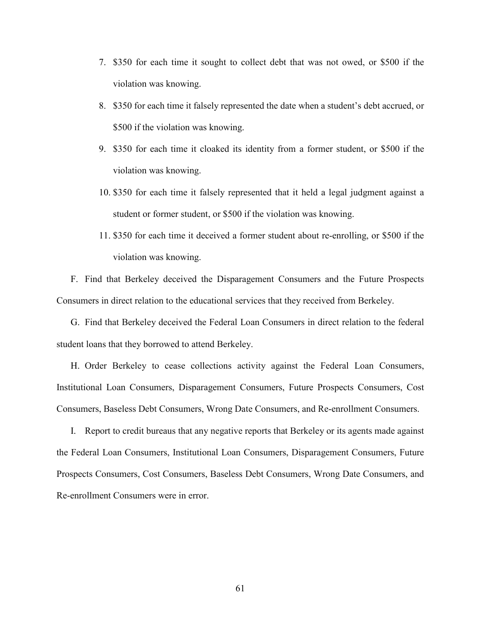- 7. \$350 for each time it sought to collect debt that was not owed, or \$500 if the violation was knowing.
- 8. \$350 for each time it falsely represented the date when a student's debt accrued, or \$500 if the violation was knowing.
- 9. \$350 for each time it cloaked its identity from a former student, or \$500 if the violation was knowing.
- 10. \$350 for each time it falsely represented that it held a legal judgment against a student or former student, or \$500 if the violation was knowing.
- 11. \$350 for each time it deceived a former student about re-enrolling, or \$500 if the violation was knowing.

F. Find that Berkeley deceived the Disparagement Consumers and the Future Prospects Consumers in direct relation to the educational services that they received from Berkeley.

G. Find that Berkeley deceived the Federal Loan Consumers in direct relation to the federal student loans that they borrowed to attend Berkeley.

H. Order Berkeley to cease collections activity against the Federal Loan Consumers, Institutional Loan Consumers, Disparagement Consumers, Future Prospects Consumers, Cost Consumers, Baseless Debt Consumers, Wrong Date Consumers, and Re-enrollment Consumers.

I. Report to credit bureaus that any negative reports that Berkeley or its agents made against the Federal Loan Consumers, Institutional Loan Consumers, Disparagement Consumers, Future Prospects Consumers, Cost Consumers, Baseless Debt Consumers, Wrong Date Consumers, and Re-enrollment Consumers were in error.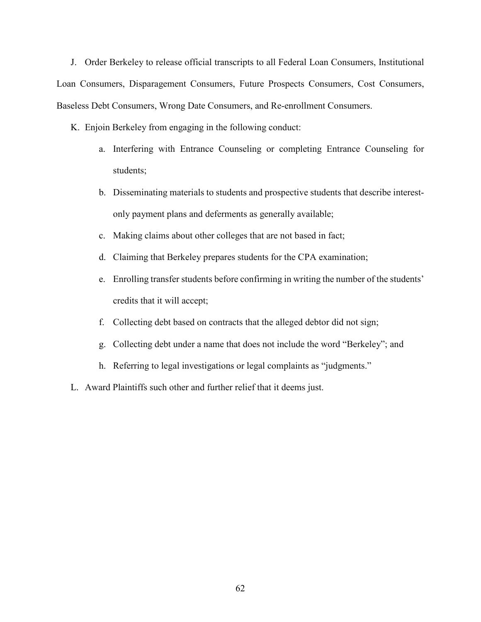J. Order Berkeley to release official transcripts to all Federal Loan Consumers, Institutional Loan Consumers, Disparagement Consumers, Future Prospects Consumers, Cost Consumers, Baseless Debt Consumers, Wrong Date Consumers, and Re-enrollment Consumers.

- K. Enjoin Berkeley from engaging in the following conduct:
	- a. Interfering with Entrance Counseling or completing Entrance Counseling for students;
	- b. Disseminating materials to students and prospective students that describe interestonly payment plans and deferments as generally available;
	- c. Making claims about other colleges that are not based in fact;
	- d. Claiming that Berkeley prepares students for the CPA examination;
	- e. Enrolling transfer students before confirming in writing the number of the students' credits that it will accept;
	- f. Collecting debt based on contracts that the alleged debtor did not sign;
	- g. Collecting debt under a name that does not include the word "Berkeley"; and
	- h. Referring to legal investigations or legal complaints as "judgments."
- L. Award Plaintiffs such other and further relief that it deems just.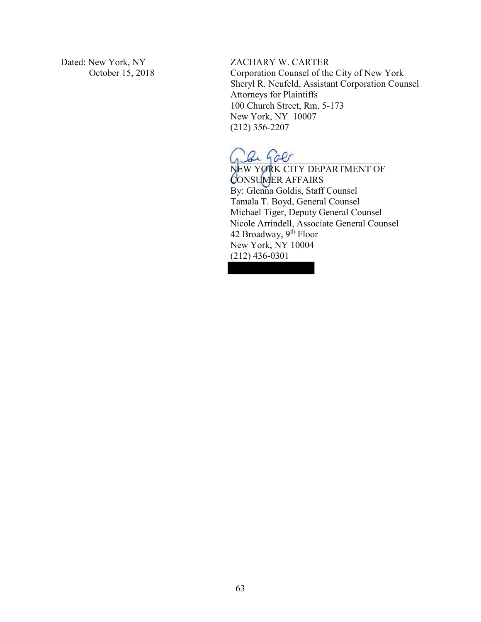Dated: New York, NY October 15, 2018 ZACHARY W. CARTER

Corporation Counsel of the City of New York Sheryl R. Neufeld, Assistant Corporation Counsel Attorneys for Plaintiffs 100 Church Street, Rm. 5-173 New York, NY 10007 (212) 356-2207

 $\mathcal{L}_1$  be galler

NEW YORK CITY DEPARTMENT OF CONSUMER AFFAIRS By: Glenna Goldis, Staff Counsel Tamala T. Boyd, General Counsel Michael Tiger, Deputy General Counsel Nicole Arrindell, Associate General Counsel 42 Broadway, 9<sup>th</sup> Floor New York, NY 10004 (212) 436-0301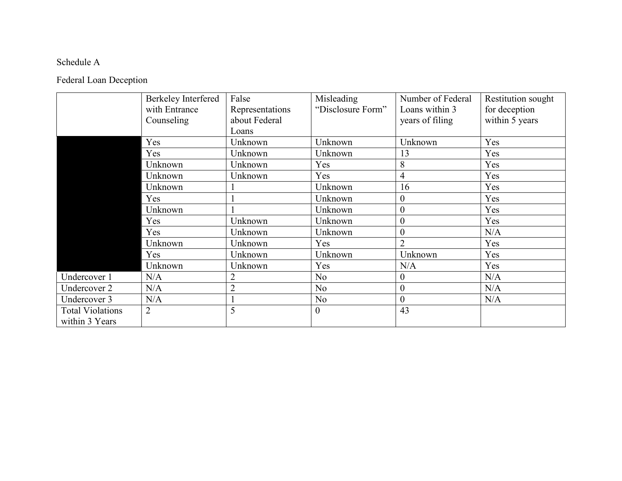## Schedule A

## Federal Loan Deception

|                         | Berkeley Interfered | False           | Misleading        | Number of Federal | Restitution sought |
|-------------------------|---------------------|-----------------|-------------------|-------------------|--------------------|
|                         | with Entrance       | Representations | "Disclosure Form" | Loans within 3    | for deception      |
|                         | Counseling          | about Federal   |                   | years of filing   | within 5 years     |
|                         |                     | Loans           |                   |                   |                    |
|                         | Yes                 | Unknown         | Unknown           | Unknown           | Yes                |
|                         | Yes                 | Unknown         | Unknown           | 13                | Yes                |
|                         | Unknown             | Unknown         | Yes               | 8                 | Yes                |
|                         | Unknown             | Unknown         | Yes               | 4                 | Yes                |
|                         | Unknown             |                 | Unknown           | 16                | Yes                |
|                         | Yes                 |                 | Unknown           | $\overline{0}$    | Yes                |
|                         | Unknown             |                 | Unknown           | $\boldsymbol{0}$  | Yes                |
|                         | Yes                 | Unknown         | Unknown           | $\overline{0}$    | Yes                |
|                         | Yes                 | Unknown         | Unknown           | $\theta$          | N/A                |
|                         | Unknown             | Unknown         | Yes               | $\overline{2}$    | Yes                |
|                         | Yes                 | Unknown         | Unknown           | Unknown           | Yes                |
|                         | Unknown             | Unknown         | Yes               | N/A               | Yes                |
| Undercover 1            | N/A                 | $\overline{2}$  | No                | $\overline{0}$    | N/A                |
| Undercover 2            | N/A                 | $\overline{2}$  | No                | $\boldsymbol{0}$  | N/A                |
| Undercover 3            | N/A                 |                 | No                | $\overline{0}$    | N/A                |
| <b>Total Violations</b> | 2                   | 5               | $\boldsymbol{0}$  | 43                |                    |
| within 3 Years          |                     |                 |                   |                   |                    |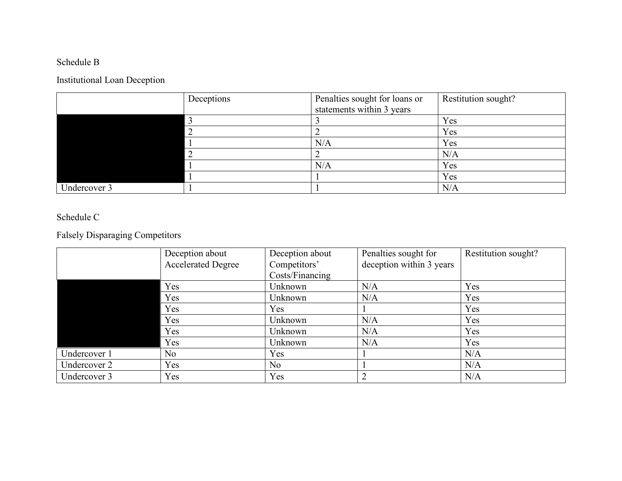## Schedule B

## Institutional Loan Deception

|              | Deceptions | Penalties sought for loans or | Restitution sought? |
|--------------|------------|-------------------------------|---------------------|
|              |            | statements within 3 years     |                     |
|              |            |                               | Yes                 |
|              |            |                               | Yes                 |
|              |            | N/A                           | Yes                 |
|              |            |                               | N/A                 |
|              |            | N/A                           | Yes                 |
|              |            |                               | Yes                 |
| Undercover 3 |            |                               | N/A                 |

### Schedule C

## Falsely Disparaging Competitors

|              | Deception about           | Deception about | Penalties sought for     | Restitution sought? |
|--------------|---------------------------|-----------------|--------------------------|---------------------|
|              | <b>Accelerated Degree</b> | Competitors'    | deception within 3 years |                     |
|              |                           | Costs/Financing |                          |                     |
|              | Yes                       | Unknown         | N/A                      | Yes                 |
|              | Yes                       | Unknown         | N/A                      | Yes                 |
|              | Yes                       | Yes             |                          | Yes                 |
|              | Yes                       | Unknown         | N/A                      | Yes                 |
|              | Yes                       | Unknown         | N/A                      | Yes                 |
|              | Yes                       | Unknown         | N/A                      | Yes                 |
| Undercover 1 | No                        | Yes             |                          | N/A                 |
| Undercover 2 | Yes                       | N <sub>o</sub>  |                          | N/A                 |
| Undercover 3 | Yes                       | Yes             |                          | N/A                 |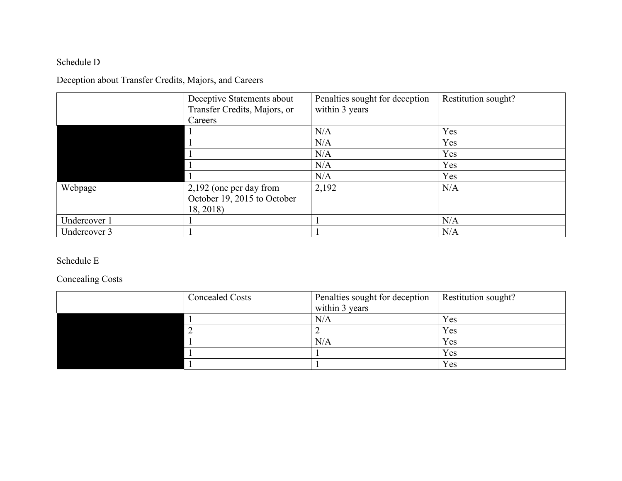## Schedule D

## Deception about Transfer Credits, Majors, and Careers

|              | Deceptive Statements about   | Penalties sought for deception | Restitution sought? |
|--------------|------------------------------|--------------------------------|---------------------|
|              | Transfer Credits, Majors, or | within 3 years                 |                     |
|              | Careers                      |                                |                     |
|              |                              | N/A                            | Yes                 |
|              |                              | N/A                            | Yes                 |
|              |                              | N/A                            | Yes                 |
|              |                              | N/A                            | Yes                 |
|              |                              | N/A                            | Yes                 |
| Webpage      | 2,192 (one per day from      | 2,192                          | N/A                 |
|              | October 19, 2015 to October  |                                |                     |
|              | 18, 2018)                    |                                |                     |
| Undercover 1 |                              |                                | N/A                 |
| Undercover 3 |                              |                                | N/A                 |

### Schedule E

## Concealing Costs

| <b>Concealed Costs</b> | Penalties sought for deception | Restitution sought? |
|------------------------|--------------------------------|---------------------|
|                        | within 3 years                 |                     |
|                        | N/A                            | Yes                 |
|                        |                                | Yes                 |
|                        | N/A                            | Yes                 |
|                        |                                | Yes                 |
|                        |                                | Yes                 |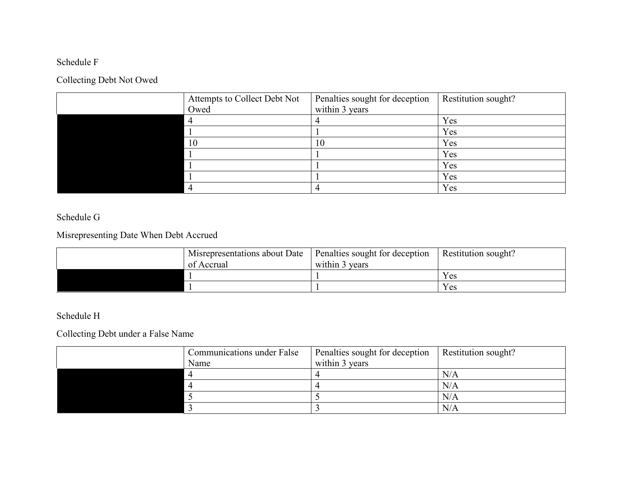## Schedule F

## Collecting Debt Not Owed

| Attempts to Collect Debt Not | Penalties sought for deception | Restitution sought? |
|------------------------------|--------------------------------|---------------------|
| Owed                         | within 3 years                 |                     |
|                              |                                | Yes                 |
|                              |                                | Yes                 |
| 10                           | 10                             | Yes                 |
|                              |                                | Yes                 |
|                              |                                | Yes                 |
|                              |                                | Yes                 |
|                              |                                | Yes                 |

### Schedule G

## Misrepresenting Date When Debt Accrued

| Misrepresentations about Date   Penalties sought for deception<br>of Accrual | within 3 years | Restitution sought? |
|------------------------------------------------------------------------------|----------------|---------------------|
|                                                                              |                |                     |
|                                                                              |                | Yes                 |
|                                                                              |                | Yes                 |

### Schedule H

### Collecting Debt under a False Name

| <b>Communications under False</b> | Penalties sought for deception | Restitution sought? |
|-----------------------------------|--------------------------------|---------------------|
| Name                              | within 3 years                 |                     |
|                                   |                                | N/A                 |
|                                   |                                | N/A                 |
|                                   |                                | N/A                 |
|                                   |                                | N/A                 |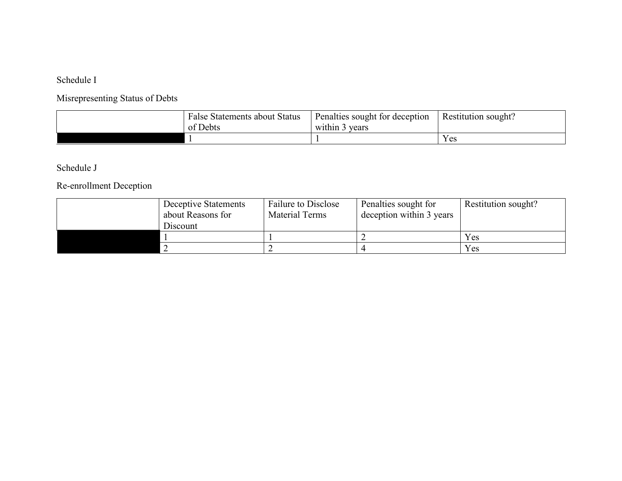### Schedule I

## Misrepresenting Status of Debts

| <b>False Statements about Status</b><br>of Debts | Penalties sought for deception<br>vears<br>د within | Restitution sought? |
|--------------------------------------------------|-----------------------------------------------------|---------------------|
|                                                  |                                                     | Yes                 |

## Schedule J

## Re-enrollment Deception

| Deceptive Statements<br>about Reasons for<br>Discount | <b>Failure to Disclose</b><br><b>Material Terms</b> | Penalties sought for<br>deception within 3 years | Restitution sought? |
|-------------------------------------------------------|-----------------------------------------------------|--------------------------------------------------|---------------------|
|                                                       |                                                     |                                                  | Yes                 |
|                                                       |                                                     |                                                  | Yes                 |